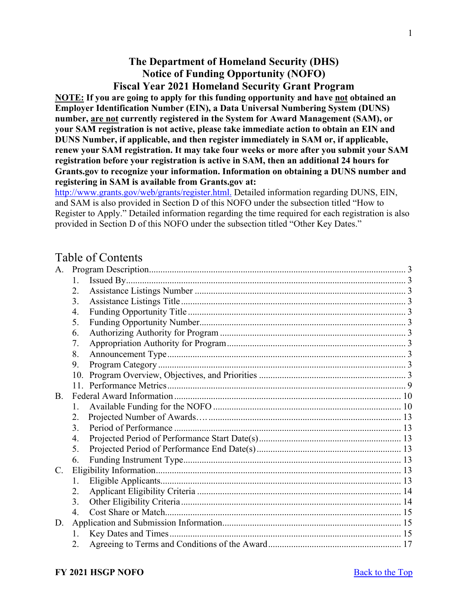# **The Department of Homeland Security (DHS) Notice of Funding Opportunity (NOFO) Fiscal Year 2021 Homeland Security Grant Program**

<span id="page-0-0"></span>**NOTE: If you are going to apply for this funding opportunity and have not obtained an Employer Identification Number (EIN), a Data Universal Numbering System (DUNS) number, are not currently registered in the System for Award Management (SAM), or your SAM registration is not active, please take immediate action to obtain an EIN and DUNS Number, if applicable, and then register immediately in SAM or, if applicable, renew your SAM registration. It may take four weeks or more after you submit your SAM registration before your registration is active in SAM, then an additional 24 hours for Grants.gov to recognize your information. Information on obtaining a DUNS number and registering in SAM is available from Grants.gov at:** 

[http://www.grants.gov/web/grants/register.html.](http://www.grants.gov/web/grants/register.html) Detailed information regarding DUNS, EIN, and SAM is also provided in Section D of this NOFO under the subsection titled "How to Register to Apply." Detailed information regarding the time required for each registration is also provided in Section D of this NOFO under the subsection titled "Other Key Dates."

# Table of Contents

| A.          |                      |  |
|-------------|----------------------|--|
|             | 1.                   |  |
|             | 2.                   |  |
|             | 3.                   |  |
|             | 4.                   |  |
|             | 5.                   |  |
|             | 6.                   |  |
|             | 7.                   |  |
|             | 8.                   |  |
|             | 9.                   |  |
|             | 10.                  |  |
|             |                      |  |
| <b>B.</b>   |                      |  |
|             | $\mathbf{1}_{\cdot}$ |  |
|             | 2.                   |  |
|             | 3.                   |  |
|             | 4.                   |  |
|             | 5.                   |  |
|             | 6.                   |  |
| $C_{\cdot}$ |                      |  |
|             | 1.                   |  |
|             | 2.                   |  |
|             | 3.                   |  |
|             | $\overline{4}$ .     |  |
| D.          |                      |  |
|             | 1.                   |  |
|             | 2.                   |  |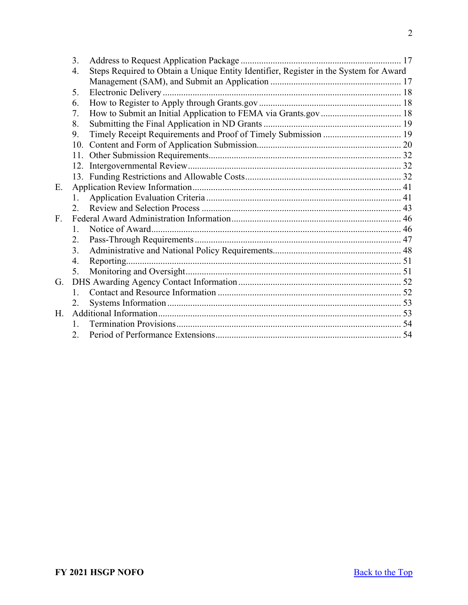|    | 3.           |                                                                                       |  |
|----|--------------|---------------------------------------------------------------------------------------|--|
|    | 4.           | Steps Required to Obtain a Unique Entity Identifier, Register in the System for Award |  |
|    |              |                                                                                       |  |
|    | 5.           |                                                                                       |  |
|    | 6.           |                                                                                       |  |
|    | 7.           |                                                                                       |  |
|    | 8.           |                                                                                       |  |
|    | 9.           | Timely Receipt Requirements and Proof of Timely Submission  19                        |  |
|    |              |                                                                                       |  |
|    |              |                                                                                       |  |
|    |              |                                                                                       |  |
|    |              |                                                                                       |  |
| Ε. |              |                                                                                       |  |
|    | 1.           |                                                                                       |  |
|    | 2.           |                                                                                       |  |
| F. |              |                                                                                       |  |
|    | 1.           |                                                                                       |  |
|    | 2.           |                                                                                       |  |
|    | 3.           |                                                                                       |  |
|    | 4.           |                                                                                       |  |
|    | 5.           |                                                                                       |  |
| G. |              |                                                                                       |  |
|    | $1_{-}$      |                                                                                       |  |
|    | 2.           |                                                                                       |  |
| Н. |              |                                                                                       |  |
|    | $\mathbf{1}$ |                                                                                       |  |
|    | 2.           |                                                                                       |  |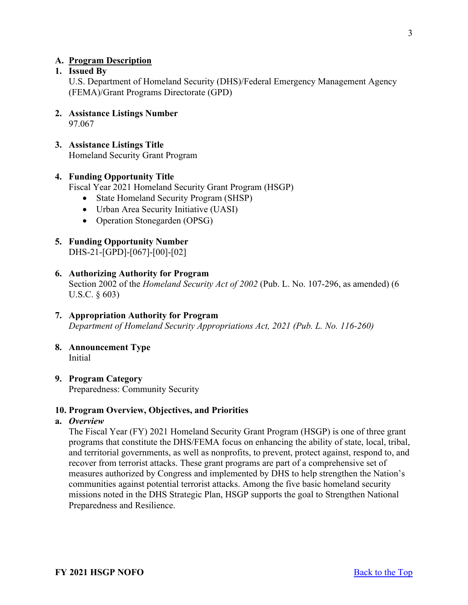# <span id="page-2-0"></span>**A. Program Description**

## <span id="page-2-1"></span>**1. Issued By**

U.S. Department of Homeland Security (DHS)/Federal Emergency Management Agency (FEMA)/Grant Programs Directorate (GPD)

- <span id="page-2-2"></span>**2. Assistance Listings Number** 97.067
- <span id="page-2-3"></span>**3. Assistance Listings Title** Homeland Security Grant Program

#### <span id="page-2-4"></span>**4. Funding Opportunity Title**

Fiscal Year 2021 Homeland Security Grant Program (HSGP)

- State Homeland Security Program (SHSP)
- Urban Area Security Initiative (UASI)
- Operation Stonegarden (OPSG)
- <span id="page-2-5"></span>**5. Funding Opportunity Number** DHS-21-[GPD]-[067]-[00]-[02]

## <span id="page-2-6"></span>**6. Authorizing Authority for Program** Section 2002 of the *Homeland Security Act of 2002* (Pub. L. No. 107-296, as amended) (6 U.S.C. § 603)

- <span id="page-2-7"></span>**7. Appropriation Authority for Program** *Department of Homeland Security Appropriations Act, 2021 (Pub. L. No. 116-260)*
- <span id="page-2-8"></span>**8. Announcement Type** Initial
- <span id="page-2-9"></span>**9. Program Category** Preparedness: Community Security

#### <span id="page-2-10"></span>**10. Program Overview, Objectives, and Priorities**

#### **a.** *Overview*

The Fiscal Year (FY) 2021 Homeland Security Grant Program (HSGP) is one of three grant programs that constitute the DHS/FEMA focus on enhancing the ability of state, local, tribal, and territorial governments, as well as nonprofits, to prevent, protect against, respond to, and recover from terrorist attacks. These grant programs are part of a comprehensive set of measures authorized by Congress and implemented by DHS to help strengthen the Nation's communities against potential terrorist attacks. Among the five basic homeland security missions noted in the DHS Strategic Plan, HSGP supports the goal to Strengthen National Preparedness and Resilience.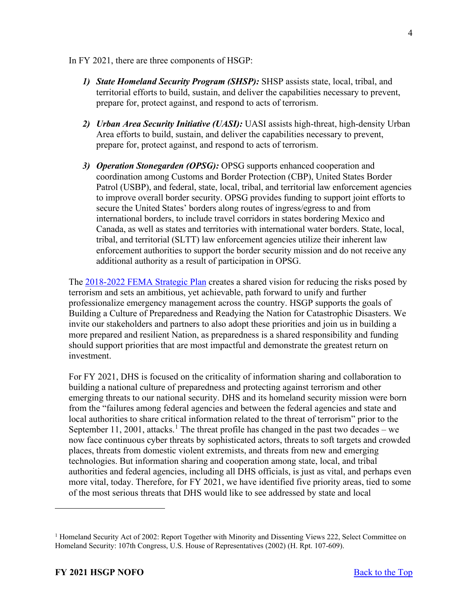In FY 2021, there are three components of HSGP:

- *1) State Homeland Security Program (SHSP):* SHSP assists state, local, tribal, and territorial efforts to build, sustain, and deliver the capabilities necessary to prevent, prepare for, protect against, and respond to acts of terrorism.
- *2) Urban Area Security Initiative (UASI):* UASI assists high-threat, high-density Urban Area efforts to build, sustain, and deliver the capabilities necessary to prevent, prepare for, protect against, and respond to acts of terrorism.
- *3) Operation Stonegarden (OPSG):* OPSG supports enhanced cooperation and coordination among Customs and Border Protection (CBP), United States Border Patrol (USBP), and federal, state, local, tribal, and territorial law enforcement agencies to improve overall border security. OPSG provides funding to support joint efforts to secure the United States' borders along routes of ingress/egress to and from international borders, to include travel corridors in states bordering Mexico and Canada, as well as states and territories with international water borders. State, local, tribal, and territorial (SLTT) law enforcement agencies utilize their inherent law enforcement authorities to support the border security mission and do not receive any additional authority as a result of participation in OPSG.

The [2018-2022 FEMA Strategic Plan](https://www.fema.gov/sites/default/files/2020-03/fema-strategic-plan_2018-2022.pdf) creates a shared vision for reducing the risks posed by terrorism and sets an ambitious, yet achievable, path forward to unify and further professionalize emergency management across the country. HSGP supports the goals of Building a Culture of Preparedness and Readying the Nation for Catastrophic Disasters. We invite our stakeholders and partners to also adopt these priorities and join us in building a more prepared and resilient Nation, as preparedness is a shared responsibility and funding should support priorities that are most impactful and demonstrate the greatest return on investment.

For FY 2021, DHS is focused on the criticality of information sharing and collaboration to building a national culture of preparedness and protecting against terrorism and other emerging threats to our national security. DHS and its homeland security mission were born from the "failures among federal agencies and between the federal agencies and state and local authorities to share critical information related to the threat of terrorism" prior to the September [1](#page-3-0)1, 2001, attacks.<sup>1</sup> The threat profile has changed in the past two decades – we now face continuous cyber threats by sophisticated actors, threats to soft targets and crowded places, threats from domestic violent extremists, and threats from new and emerging technologies. But information sharing and cooperation among state, local, and tribal authorities and federal agencies, including all DHS officials, is just as vital, and perhaps even more vital, today. Therefore, for FY 2021, we have identified five priority areas, tied to some of the most serious threats that DHS would like to see addressed by state and local

<span id="page-3-0"></span><sup>&</sup>lt;sup>1</sup> Homeland Security Act of 2002: Report Together with Minority and Dissenting Views 222, Select Committee on Homeland Security: 107th Congress, U.S. House of Representatives (2002) (H. Rpt. 107-609).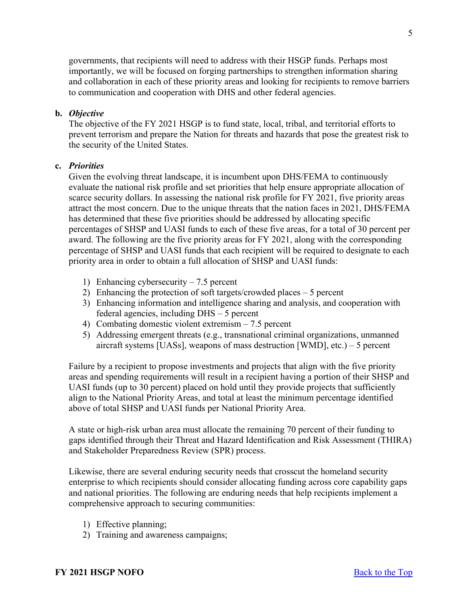governments, that recipients will need to address with their HSGP funds. Perhaps most importantly, we will be focused on forging partnerships to strengthen information sharing and collaboration in each of these priority areas and looking for recipients to remove barriers to communication and cooperation with DHS and other federal agencies.

# **b.** *Objective*

The objective of the FY 2021 HSGP is to fund state, local, tribal, and territorial efforts to prevent terrorism and prepare the Nation for threats and hazards that pose the greatest risk to the security of the United States.

# **c.** *Priorities*

Given the evolving threat landscape, it is incumbent upon DHS/FEMA to continuously evaluate the national risk profile and set priorities that help ensure appropriate allocation of scarce security dollars. In assessing the national risk profile for FY 2021, five priority areas attract the most concern. Due to the unique threats that the nation faces in 2021, DHS/FEMA has determined that these five priorities should be addressed by allocating specific percentages of SHSP and UASI funds to each of these five areas, for a total of 30 percent per award. The following are the five priority areas for FY 2021, along with the corresponding percentage of SHSP and UASI funds that each recipient will be required to designate to each priority area in order to obtain a full allocation of SHSP and UASI funds:

- 1) Enhancing cybersecurity 7.5 percent
- 2) Enhancing the protection of soft targets/crowded places 5 percent
- 3) Enhancing information and intelligence sharing and analysis, and cooperation with federal agencies, including DHS – 5 percent
- 4) Combating domestic violent extremism 7.5 percent
- 5) Addressing emergent threats (e.g., transnational criminal organizations, unmanned aircraft systems [UASs], weapons of mass destruction [WMD], etc.) – 5 percent

Failure by a recipient to propose investments and projects that align with the five priority areas and spending requirements will result in a recipient having a portion of their SHSP and UASI funds (up to 30 percent) placed on hold until they provide projects that sufficiently align to the National Priority Areas, and total at least the minimum percentage identified above of total SHSP and UASI funds per National Priority Area.

A state or high-risk urban area must allocate the remaining 70 percent of their funding to gaps identified through their Threat and Hazard Identification and Risk Assessment (THIRA) and Stakeholder Preparedness Review (SPR) process.

Likewise, there are several enduring security needs that crosscut the homeland security enterprise to which recipients should consider allocating funding across core capability gaps and national priorities. The following are enduring needs that help recipients implement a comprehensive approach to securing communities:

- 1) Effective planning;
- 2) Training and awareness campaigns;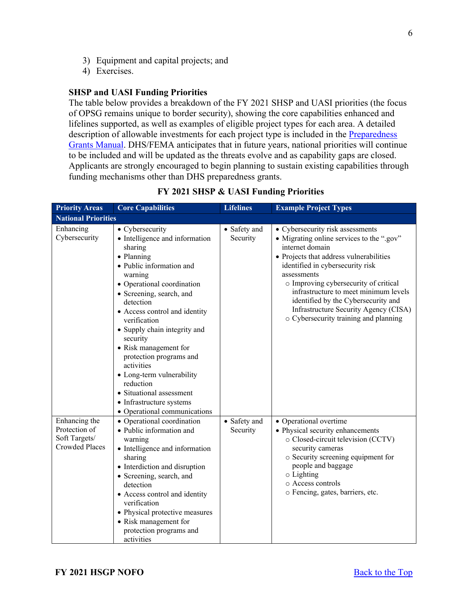- 3) Equipment and capital projects; and
- 4) Exercises.

## **SHSP and UASI Funding Priorities**

The table below provides a breakdown of the FY 2021 SHSP and UASI priorities (the focus of OPSG remains unique to border security), showing the core capabilities enhanced and lifelines supported, as well as examples of eligible project types for each area. A detailed description of allowable investments for each project type is included in the [Preparedness](https://www.fema.gov/media-library/assets/documents/178291)  [Grants Manual.](https://www.fema.gov/media-library/assets/documents/178291) DHS/FEMA anticipates that in future years, national priorities will continue to be included and will be updated as the threats evolve and as capability gaps are closed. Applicants are strongly encouraged to begin planning to sustain existing capabilities through funding mechanisms other than DHS preparedness grants.

| <b>Priority Areas</b>                                                    | <b>Core Capabilities</b>                                                                                                                                                                                                                                                                                                                                                                                                                                                                  | <b>Lifelines</b>         | <b>Example Project Types</b>                                                                                                                                                                                                                                                                                                                                                                              |
|--------------------------------------------------------------------------|-------------------------------------------------------------------------------------------------------------------------------------------------------------------------------------------------------------------------------------------------------------------------------------------------------------------------------------------------------------------------------------------------------------------------------------------------------------------------------------------|--------------------------|-----------------------------------------------------------------------------------------------------------------------------------------------------------------------------------------------------------------------------------------------------------------------------------------------------------------------------------------------------------------------------------------------------------|
| <b>National Priorities</b>                                               |                                                                                                                                                                                                                                                                                                                                                                                                                                                                                           |                          |                                                                                                                                                                                                                                                                                                                                                                                                           |
| Enhancing<br>Cybersecurity                                               | • Cybersecurity<br>• Intelligence and information<br>sharing<br>• Planning<br>· Public information and<br>warning<br>• Operational coordination<br>• Screening, search, and<br>detection<br>• Access control and identity<br>verification<br>• Supply chain integrity and<br>security<br>• Risk management for<br>protection programs and<br>activities<br>• Long-term vulnerability<br>reduction<br>• Situational assessment<br>• Infrastructure systems<br>• Operational communications | • Safety and<br>Security | • Cybersecurity risk assessments<br>• Migrating online services to the ".gov"<br>internet domain<br>• Projects that address vulnerabilities<br>identified in cybersecurity risk<br>assessments<br>o Improving cybersecurity of critical<br>infrastructure to meet minimum levels<br>identified by the Cybersecurity and<br>Infrastructure Security Agency (CISA)<br>o Cybersecurity training and planning |
| Enhancing the<br>Protection of<br>Soft Targets/<br><b>Crowded Places</b> | • Operational coordination<br>• Public information and<br>warning<br>• Intelligence and information<br>sharing<br>• Interdiction and disruption<br>• Screening, search, and<br>detection<br>• Access control and identity<br>verification<br>• Physical protective measures<br>• Risk management for<br>protection programs and<br>activities                                                                                                                                             | • Safety and<br>Security | • Operational overtime<br>• Physical security enhancements<br>o Closed-circuit television (CCTV)<br>security cameras<br>o Security screening equipment for<br>people and baggage<br>$\circ$ Lighting<br>o Access controls<br>o Fencing, gates, barriers, etc.                                                                                                                                             |

**FY 2021 SHSP & UASI Funding Priorities**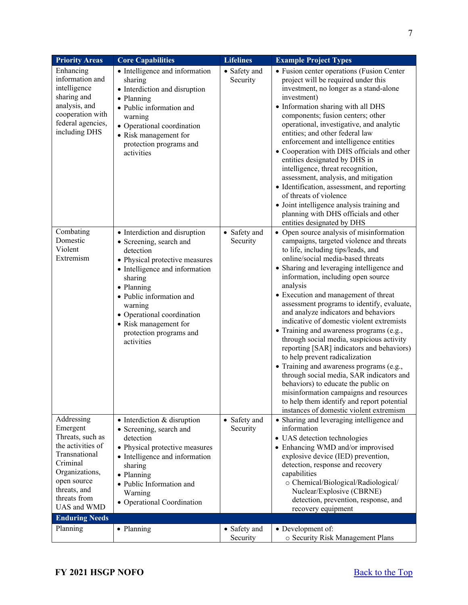| <b>Priority Areas</b>                                                                                                                                                        | <b>Core Capabilities</b>                                                                                                                                                                                                                                                                                  | <b>Lifelines</b>         | <b>Example Project Types</b>                                                                                                                                                                                                                                                                                                                                                                                                                                                                                                                                                                                                                                                                                                                                                                                                                                                        |
|------------------------------------------------------------------------------------------------------------------------------------------------------------------------------|-----------------------------------------------------------------------------------------------------------------------------------------------------------------------------------------------------------------------------------------------------------------------------------------------------------|--------------------------|-------------------------------------------------------------------------------------------------------------------------------------------------------------------------------------------------------------------------------------------------------------------------------------------------------------------------------------------------------------------------------------------------------------------------------------------------------------------------------------------------------------------------------------------------------------------------------------------------------------------------------------------------------------------------------------------------------------------------------------------------------------------------------------------------------------------------------------------------------------------------------------|
| Enhancing<br>information and<br>intelligence<br>sharing and<br>analysis, and<br>cooperation with<br>federal agencies,<br>including DHS                                       | • Intelligence and information<br>sharing<br>• Interdiction and disruption<br>• Planning<br>· Public information and<br>warning<br>• Operational coordination<br>• Risk management for<br>protection programs and<br>activities                                                                           | • Safety and<br>Security | • Fusion center operations (Fusion Center<br>project will be required under this<br>investment, no longer as a stand-alone<br>investment)<br>• Information sharing with all DHS<br>components; fusion centers; other<br>operational, investigative, and analytic<br>entities; and other federal law<br>enforcement and intelligence entities<br>• Cooperation with DHS officials and other<br>entities designated by DHS in                                                                                                                                                                                                                                                                                                                                                                                                                                                         |
|                                                                                                                                                                              |                                                                                                                                                                                                                                                                                                           |                          | intelligence, threat recognition,<br>assessment, analysis, and mitigation<br>· Identification, assessment, and reporting<br>of threats of violence<br>· Joint intelligence analysis training and<br>planning with DHS officials and other<br>entities designated by DHS                                                                                                                                                                                                                                                                                                                                                                                                                                                                                                                                                                                                             |
| Combating<br>Domestic<br>Violent<br>Extremism                                                                                                                                | • Interdiction and disruption<br>• Screening, search and<br>detection<br>• Physical protective measures<br>• Intelligence and information<br>sharing<br>• Planning<br>• Public information and<br>warning<br>• Operational coordination<br>• Risk management for<br>protection programs and<br>activities | • Safety and<br>Security | • Open source analysis of misinformation<br>campaigns, targeted violence and threats<br>to life, including tips/leads, and<br>online/social media-based threats<br>• Sharing and leveraging intelligence and<br>information, including open source<br>analysis<br>• Execution and management of threat<br>assessment programs to identify, evaluate,<br>and analyze indicators and behaviors<br>indicative of domestic violent extremists<br>· Training and awareness programs (e.g.,<br>through social media, suspicious activity<br>reporting [SAR] indicators and behaviors)<br>to help prevent radicalization<br>· Training and awareness programs (e.g.,<br>through social media, SAR indicators and<br>behaviors) to educate the public on<br>misinformation campaigns and resources<br>to help them identify and report potential<br>instances of domestic violent extremism |
| Addressing<br>Emergent<br>Threats, such as<br>the activities of<br>Transnational<br>Criminal<br>Organizations,<br>open source<br>threats, and<br>threats from<br>UAS and WMD | $\bullet$ Interdiction & disruption<br>• Screening, search and<br>detection<br>• Physical protective measures<br>• Intelligence and information<br>sharing<br>• Planning<br>· Public Information and<br>Warning<br>• Operational Coordination                                                             | • Safety and<br>Security | • Sharing and leveraging intelligence and<br>information<br>· UAS detection technologies<br>• Enhancing WMD and/or improvised<br>explosive device (IED) prevention,<br>detection, response and recovery<br>capabilities<br>o Chemical/Biological/Radiological/<br>Nuclear/Explosive (CBRNE)<br>detection, prevention, response, and<br>recovery equipment                                                                                                                                                                                                                                                                                                                                                                                                                                                                                                                           |
| <b>Enduring Needs</b>                                                                                                                                                        |                                                                                                                                                                                                                                                                                                           |                          |                                                                                                                                                                                                                                                                                                                                                                                                                                                                                                                                                                                                                                                                                                                                                                                                                                                                                     |
| Planning                                                                                                                                                                     | • Planning                                                                                                                                                                                                                                                                                                | • Safety and<br>Security | • Development of:<br>o Security Risk Management Plans                                                                                                                                                                                                                                                                                                                                                                                                                                                                                                                                                                                                                                                                                                                                                                                                                               |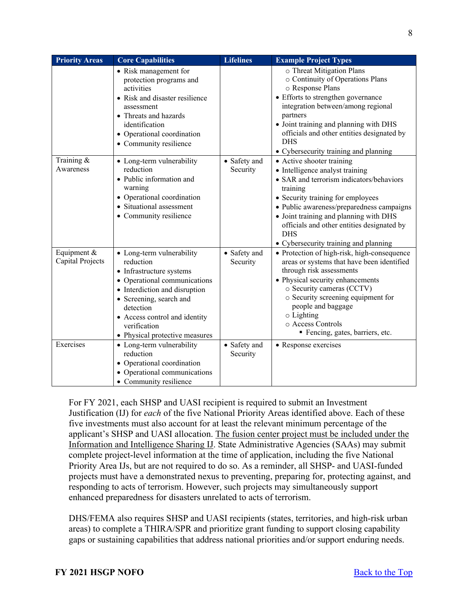| <b>Priority Areas</b>           | <b>Core Capabilities</b>                                                                                                                                                                                                                                       | <b>Lifelines</b>         | <b>Example Project Types</b>                                                                                                                                                                                                                                                                                                                          |
|---------------------------------|----------------------------------------------------------------------------------------------------------------------------------------------------------------------------------------------------------------------------------------------------------------|--------------------------|-------------------------------------------------------------------------------------------------------------------------------------------------------------------------------------------------------------------------------------------------------------------------------------------------------------------------------------------------------|
|                                 | • Risk management for<br>protection programs and<br>activities<br>• Risk and disaster resilience<br>assessment<br>• Threats and hazards<br>identification<br>• Operational coordination<br>• Community resilience                                              |                          | o Threat Mitigation Plans<br>o Continuity of Operations Plans<br>o Response Plans<br>• Efforts to strengthen governance<br>integration between/among regional<br>partners<br>• Joint training and planning with DHS<br>officials and other entities designated by<br><b>DHS</b><br>• Cybersecurity training and planning                              |
| Training &<br>Awareness         | • Long-term vulnerability<br>reduction<br>• Public information and<br>warning<br>• Operational coordination<br>• Situational assessment<br>• Community resilience                                                                                              | • Safety and<br>Security | • Active shooter training<br>• Intelligence analyst training<br>• SAR and terrorism indicators/behaviors<br>training<br>• Security training for employees<br>• Public awareness/preparedness campaigns<br>• Joint training and planning with DHS<br>officials and other entities designated by<br><b>DHS</b><br>• Cybersecurity training and planning |
| Equipment &<br>Capital Projects | • Long-term vulnerability<br>reduction<br>• Infrastructure systems<br>• Operational communications<br>• Interdiction and disruption<br>• Screening, search and<br>detection<br>• Access control and identity<br>verification<br>• Physical protective measures | • Safety and<br>Security | • Protection of high-risk, high-consequence<br>areas or systems that have been identified<br>through risk assessments<br>• Physical security enhancements<br>o Security cameras (CCTV)<br>o Security screening equipment for<br>people and baggage<br>o Lighting<br>o Access Controls<br>Fencing, gates, barriers, etc.                               |
| Exercises                       | • Long-term vulnerability<br>reduction<br>• Operational coordination<br>• Operational communications<br>• Community resilience                                                                                                                                 | • Safety and<br>Security | • Response exercises                                                                                                                                                                                                                                                                                                                                  |

For FY 2021, each SHSP and UASI recipient is required to submit an Investment Justification (IJ) for *each* of the five National Priority Areas identified above. Each of these five investments must also account for at least the relevant minimum percentage of the applicant's SHSP and UASI allocation. The fusion center project must be included under the Information and Intelligence Sharing IJ. State Administrative Agencies (SAAs) may submit complete project-level information at the time of application, including the five National Priority Area IJs, but are not required to do so. As a reminder, all SHSP- and UASI-funded projects must have a demonstrated nexus to preventing, preparing for, protecting against, and responding to acts of terrorism. However, such projects may simultaneously support enhanced preparedness for disasters unrelated to acts of terrorism.

DHS/FEMA also requires SHSP and UASI recipients (states, territories, and high-risk urban areas) to complete a THIRA/SPR and prioritize grant funding to support closing capability gaps or sustaining capabilities that address national priorities and/or support enduring needs.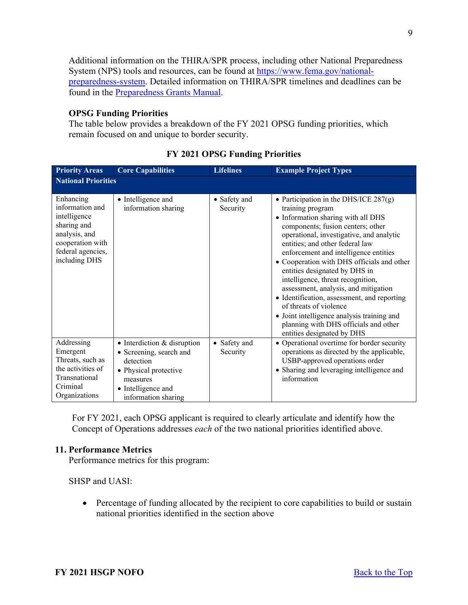Additional information on the THIRA/SPR process, including other National Preparedness System (NPS) tools and resources, can be found at [https://www.fema.gov/national](https://www.fema.gov/national-preparedness-system)[preparedness-system.](https://www.fema.gov/national-preparedness-system) Detailed information on THIRA/SPR timelines and deadlines can be found in the [Preparedness Grants Manual.](https://www.fema.gov/media-library/assets/documents/178291)

# **OPSG Funding Priorities**

The table below provides a breakdown of the FY 2021 OPSG funding priorities, which remain focused on and unique to border security.

| <b>Priority Areas</b>                                                                                                                  | <b>Core Capabilities</b>                                                                                                                              | <b>Lifelines</b>         | <b>Example Project Types</b>                                                                                                                                                                                                                                                                                                                                                                                                                                                                                                                                                               |  |  |  |
|----------------------------------------------------------------------------------------------------------------------------------------|-------------------------------------------------------------------------------------------------------------------------------------------------------|--------------------------|--------------------------------------------------------------------------------------------------------------------------------------------------------------------------------------------------------------------------------------------------------------------------------------------------------------------------------------------------------------------------------------------------------------------------------------------------------------------------------------------------------------------------------------------------------------------------------------------|--|--|--|
|                                                                                                                                        | <b>National Priorities</b>                                                                                                                            |                          |                                                                                                                                                                                                                                                                                                                                                                                                                                                                                                                                                                                            |  |  |  |
| Enhancing<br>information and<br>intelligence<br>sharing and<br>analysis, and<br>cooperation with<br>federal agencies,<br>including DHS | • Intelligence and<br>information sharing                                                                                                             | • Safety and<br>Security | • Participation in the DHS/ICE $287(g)$<br>training program<br>• Information sharing with all DHS<br>components; fusion centers; other<br>operational, investigative, and analytic<br>entities; and other federal law<br>enforcement and intelligence entities<br>• Cooperation with DHS officials and other<br>entities designated by DHS in<br>intelligence, threat recognition,<br>assessment, analysis, and mitigation<br>• Identification, assessment, and reporting<br>of threats of violence<br>• Joint intelligence analysis training and<br>planning with DHS officials and other |  |  |  |
| Addressing<br>Emergent<br>Threats, such as<br>the activities of<br>Transnational<br>Criminal<br>Organizations                          | • Interdiction & disruption<br>• Screening, search and<br>detection<br>• Physical protective<br>measures<br>• Intelligence and<br>information sharing | • Safety and<br>Security | entities designated by DHS<br>• Operational overtime for border security<br>operations as directed by the applicable,<br>USBP-approved operations order<br>• Sharing and leveraging intelligence and<br>information                                                                                                                                                                                                                                                                                                                                                                        |  |  |  |

## **FY 2021 OPSG Funding Priorities**

For FY 2021, each OPSG applicant is required to clearly articulate and identify how the Concept of Operations addresses *each* of the two national priorities identified above.

#### <span id="page-8-0"></span>**11. Performance Metrics**

Performance metrics for this program:

SHSP and UASI:

• Percentage of funding allocated by the recipient to core capabilities to build or sustain national priorities identified in the section above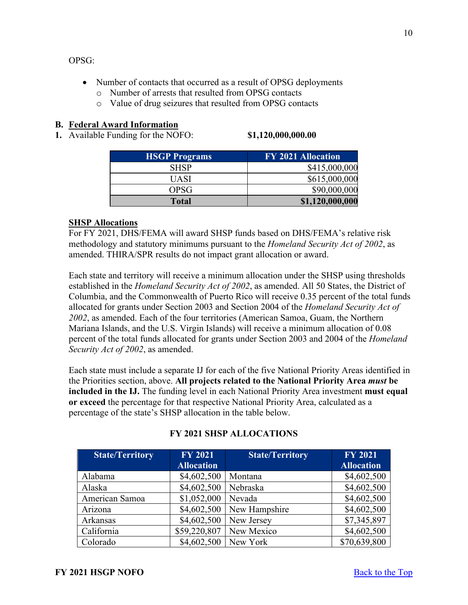OPSG:

- Number of contacts that occurred as a result of OPSG deployments
	- o Number of arrests that resulted from OPSG contacts
	- o Value of drug seizures that resulted from OPSG contacts

# <span id="page-9-0"></span>**B. Federal Award Information**

<span id="page-9-1"></span>**1.** Available Funding for the NOFO: **\$1,120,000,000.00** 

| <b>HSGP Programs</b> | FY 2021 Allocation |
|----------------------|--------------------|
| <b>SHSP</b>          | \$415,000,000      |
| UASI                 | \$615,000,000      |
| OPSG                 | \$90,000,000       |
| <b>Total</b>         | \$1,120,000,000    |

# **SHSP Allocations**

For FY 2021, DHS/FEMA will award SHSP funds based on DHS/FEMA's relative risk methodology and statutory minimums pursuant to the *Homeland Security Act of 2002*, as amended. THIRA/SPR results do not impact grant allocation or award.

Each state and territory will receive a minimum allocation under the SHSP using thresholds established in the *Homeland Security Act of 2002*, as amended. All 50 States, the District of Columbia, and the Commonwealth of Puerto Rico will receive 0.35 percent of the total funds allocated for grants under Section 2003 and Section 2004 of the *Homeland Security Act of 2002*, as amended. Each of the four territories (American Samoa, Guam, the Northern Mariana Islands, and the U.S. Virgin Islands) will receive a minimum allocation of 0.08 percent of the total funds allocated for grants under Section 2003 and 2004 of the *Homeland Security Act of 2002*, as amended.

Each state must include a separate IJ for each of the five National Priority Areas identified in the Priorities section, above. **All projects related to the National Priority Area** *must* **be included in the IJ.** The funding level in each National Priority Area investment **must equal or exceed** the percentage for that respective National Priority Area, calculated as a percentage of the state's SHSP allocation in the table below.

| <b>State/Territory</b> | <b>FY 2021</b><br><b>Allocation</b> | <b>State/Territory</b> | <b>FY 2021</b><br><b>Allocation</b> |
|------------------------|-------------------------------------|------------------------|-------------------------------------|
| Alabama                | \$4,602,500                         | Montana                | \$4,602,500                         |
| Alaska                 | \$4,602,500                         | Nebraska               | \$4,602,500                         |
| American Samoa         | \$1,052,000                         | Nevada                 | \$4,602,500                         |
| Arizona                | \$4,602,500                         | New Hampshire          | \$4,602,500                         |
| Arkansas               | \$4,602,500                         | New Jersey             | \$7,345,897                         |
| California             | \$59,220,807                        | New Mexico             | \$4,602,500                         |
| Colorado               | \$4,602,500                         | New York               | \$70,639,800                        |

# **FY 2021 SHSP ALLOCATIONS**

10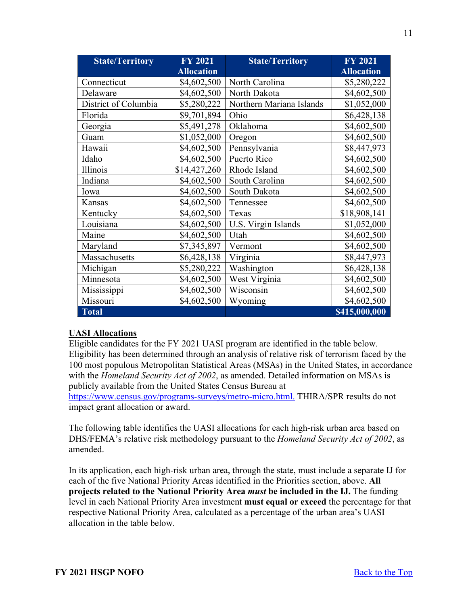| <b>State/Territory</b> | <b>FY 2021</b>    | <b>State/Territory</b>   | <b>FY 2021</b>    |
|------------------------|-------------------|--------------------------|-------------------|
|                        | <b>Allocation</b> |                          | <b>Allocation</b> |
| Connecticut            | \$4,602,500       | North Carolina           | \$5,280,222       |
| Delaware               | \$4,602,500       | North Dakota             | \$4,602,500       |
| District of Columbia   | \$5,280,222       | Northern Mariana Islands | \$1,052,000       |
| Florida                | \$9,701,894       | Ohio                     | \$6,428,138       |
| Georgia                | \$5,491,278       | Oklahoma                 | \$4,602,500       |
| Guam                   | \$1,052,000       | Oregon                   | \$4,602,500       |
| Hawaii                 | \$4,602,500       | Pennsylvania             | \$8,447,973       |
| Idaho                  | \$4,602,500       | Puerto Rico              | \$4,602,500       |
| Illinois               | \$14,427,260      | Rhode Island             | \$4,602,500       |
| Indiana                | \$4,602,500       | South Carolina           | \$4,602,500       |
| Iowa                   | \$4,602,500       | South Dakota             | \$4,602,500       |
| Kansas                 | \$4,602,500       | Tennessee                | \$4,602,500       |
| Kentucky               | \$4,602,500       | Texas                    | \$18,908,141      |
| Louisiana              | \$4,602,500       | U.S. Virgin Islands      | \$1,052,000       |
| Maine                  | \$4,602,500       | Utah                     | \$4,602,500       |
| Maryland               | \$7,345,897       | Vermont                  | \$4,602,500       |
| Massachusetts          | \$6,428,138       | Virginia                 | \$8,447,973       |
| Michigan               | \$5,280,222       | Washington               | \$6,428,138       |
| Minnesota              | \$4,602,500       | West Virginia            | \$4,602,500       |
| Mississippi            | \$4,602,500       | Wisconsin                | \$4,602,500       |
| Missouri               | \$4,602,500       | Wyoming                  | \$4,602,500       |
| <b>Total</b>           |                   |                          | \$415,000,000     |

# **UASI Allocations**

Eligible candidates for the FY 2021 UASI program are identified in the table below. Eligibility has been determined through an analysis of relative risk of terrorism faced by the 100 most populous Metropolitan Statistical Areas (MSAs) in the United States, in accordance with the *Homeland Security Act of 2002*, as amended. Detailed information on MSAs is publicly available from the United States Census Bureau at

[https://www.census.gov/programs-surveys/metro-micro.html.](https://www.census.gov/programs-surveys/metro-micro.html) THIRA/SPR results do not impact grant allocation or award.

The following table identifies the UASI allocations for each high-risk urban area based on DHS/FEMA's relative risk methodology pursuant to the *Homeland Security Act of 2002*, as amended.

In its application, each high-risk urban area, through the state, must include a separate IJ for each of the five National Priority Areas identified in the Priorities section, above. **All projects related to the National Priority Area** *must* **be included in the IJ.** The funding level in each National Priority Area investment **must equal or exceed** the percentage for that respective National Priority Area, calculated as a percentage of the urban area's UASI allocation in the table below.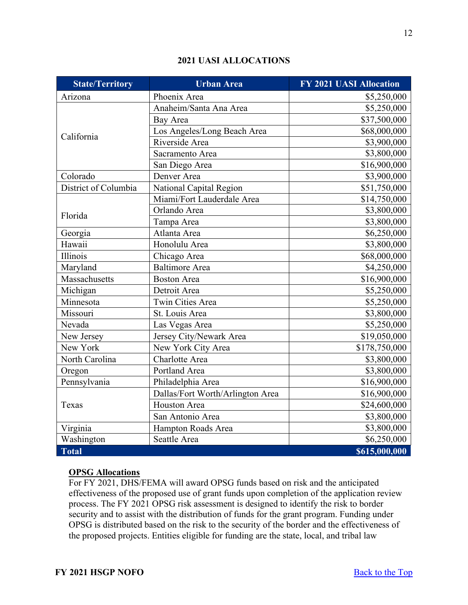| <b>State/Territory</b> | <b>Urban Area</b>                | <b>FY 2021 UASI Allocation</b> |
|------------------------|----------------------------------|--------------------------------|
| Arizona                | Phoenix Area                     | \$5,250,000                    |
|                        | Anaheim/Santa Ana Area           | \$5,250,000                    |
|                        | Bay Area                         | \$37,500,000                   |
| California             | Los Angeles/Long Beach Area      | \$68,000,000                   |
|                        | Riverside Area                   | \$3,900,000                    |
|                        | Sacramento Area                  | \$3,800,000                    |
|                        | San Diego Area                   | \$16,900,000                   |
| Colorado               | Denver Area                      | \$3,900,000                    |
| District of Columbia   | National Capital Region          | \$51,750,000                   |
|                        | Miami/Fort Lauderdale Area       | \$14,750,000                   |
| Florida                | Orlando Area                     | \$3,800,000                    |
|                        | Tampa Area                       | \$3,800,000                    |
| Georgia                | Atlanta Area                     | \$6,250,000                    |
| Hawaii                 | Honolulu Area                    | \$3,800,000                    |
| Illinois               | Chicago Area                     | \$68,000,000                   |
| Maryland               | <b>Baltimore</b> Area            | \$4,250,000                    |
| Massachusetts          | <b>Boston Area</b>               | \$16,900,000                   |
| Michigan               | Detroit Area                     | \$5,250,000                    |
| Minnesota              | <b>Twin Cities Area</b>          | \$5,250,000                    |
| Missouri               | St. Louis Area                   | \$3,800,000                    |
| Nevada                 | Las Vegas Area                   | \$5,250,000                    |
| New Jersey             | Jersey City/Newark Area          | \$19,050,000                   |
| New York               | New York City Area               | \$178,750,000                  |
| North Carolina         | Charlotte Area                   | \$3,800,000                    |
| Oregon                 | Portland Area                    | \$3,800,000                    |
| Pennsylvania           | Philadelphia Area                | \$16,900,000                   |
|                        | Dallas/Fort Worth/Arlington Area | \$16,900,000                   |
| Texas                  | <b>Houston Area</b>              | \$24,600,000                   |
|                        | San Antonio Area                 | \$3,800,000                    |
| Virginia               | Hampton Roads Area               | \$3,800,000                    |
| Washington             | Seattle Area                     | \$6,250,000                    |
| <b>Total</b>           |                                  | \$615,000,000                  |

# **2021 UASI ALLOCATIONS**

# **OPSG Allocations**

For FY 2021, DHS/FEMA will award OPSG funds based on risk and the anticipated effectiveness of the proposed use of grant funds upon completion of the application review process. The FY 2021 OPSG risk assessment is designed to identify the risk to border security and to assist with the distribution of funds for the grant program. Funding under OPSG is distributed based on the risk to the security of the border and the effectiveness of the proposed projects. Entities eligible for funding are the state, local, and tribal law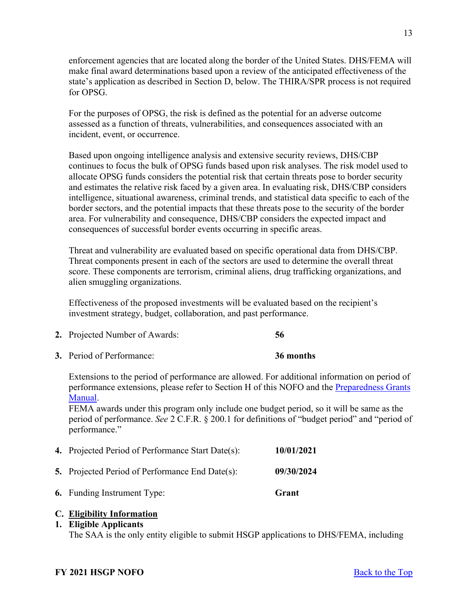enforcement agencies that are located along the border of the United States. DHS/FEMA will make final award determinations based upon a review of the anticipated effectiveness of the state's application as described in Section D, below. The THIRA/SPR process is not required for OPSG.

For the purposes of OPSG, the risk is defined as the potential for an adverse outcome assessed as a function of threats, vulnerabilities, and consequences associated with an incident, event, or occurrence.

Based upon ongoing intelligence analysis and extensive security reviews, DHS/CBP continues to focus the bulk of OPSG funds based upon risk analyses. The risk model used to allocate OPSG funds considers the potential risk that certain threats pose to border security and estimates the relative risk faced by a given area. In evaluating risk, DHS/CBP considers intelligence, situational awareness, criminal trends, and statistical data specific to each of the border sectors, and the potential impacts that these threats pose to the security of the border area. For vulnerability and consequence, DHS/CBP considers the expected impact and consequences of successful border events occurring in specific areas.

Threat and vulnerability are evaluated based on specific operational data from DHS/CBP. Threat components present in each of the sectors are used to determine the overall threat score. These components are terrorism, criminal aliens, drug trafficking organizations, and alien smuggling organizations.

Effectiveness of the proposed investments will be evaluated based on the recipient's investment strategy, budget, collaboration, and past performance.

- <span id="page-12-0"></span>**2.** Projected Number of Awards: **56**
- <span id="page-12-1"></span>**3.** Period of Performance: **36 months**

Extensions to the period of performance are allowed. For additional information on period of performance extensions, please refer to Section H of this NOFO and the [Preparedness Grants](https://www.fema.gov/media-library/assets/documents/178291)  [Manual.](https://www.fema.gov/media-library/assets/documents/178291)

FEMA awards under this program only include one budget period, so it will be same as the period of performance. *See* 2 C.F.R. § 200.1 for definitions of "budget period" and "period of performance."

<span id="page-12-3"></span><span id="page-12-2"></span>

| <b>6.</b> Funding Instrument Type:                     | Grant      |
|--------------------------------------------------------|------------|
| <b>5.</b> Projected Period of Performance End Date(s): | 09/30/2024 |
| 4. Projected Period of Performance Start Date(s):      | 10/01/2021 |

# <span id="page-12-5"></span><span id="page-12-4"></span>**C. Eligibility Information**

#### <span id="page-12-6"></span>**1. Eligible Applicants**

The SAA is the only entity eligible to submit HSGP applications to DHS/FEMA, including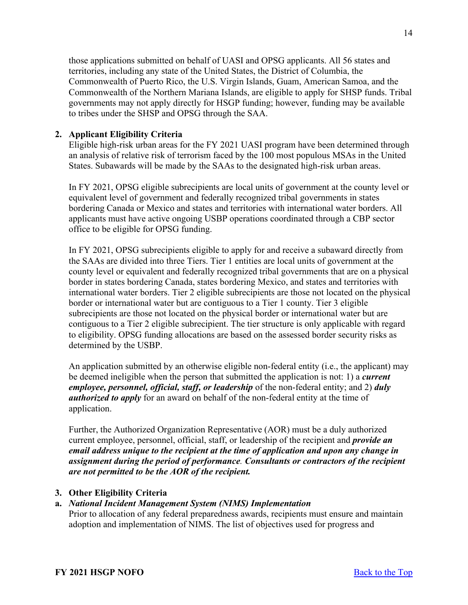those applications submitted on behalf of UASI and OPSG applicants. All 56 states and territories, including any state of the United States, the District of Columbia, the Commonwealth of Puerto Rico, the U.S. Virgin Islands, Guam, American Samoa, and the Commonwealth of the Northern Mariana Islands, are eligible to apply for SHSP funds. Tribal governments may not apply directly for HSGP funding; however, funding may be available to tribes under the SHSP and OPSG through the SAA.

# <span id="page-13-0"></span>**2. Applicant Eligibility Criteria**

Eligible high-risk urban areas for the FY 2021 UASI program have been determined through an analysis of relative risk of terrorism faced by the 100 most populous MSAs in the United States. Subawards will be made by the SAAs to the designated high-risk urban areas.

In FY 2021, OPSG eligible subrecipients are local units of government at the county level or equivalent level of government and federally recognized tribal governments in states bordering Canada or Mexico and states and territories with international water borders. All applicants must have active ongoing USBP operations coordinated through a CBP sector office to be eligible for OPSG funding.

In FY 2021, OPSG subrecipients eligible to apply for and receive a subaward directly from the SAAs are divided into three Tiers. Tier 1 entities are local units of government at the county level or equivalent and federally recognized tribal governments that are on a physical border in states bordering Canada, states bordering Mexico, and states and territories with international water borders. Tier 2 eligible subrecipients are those not located on the physical border or international water but are contiguous to a Tier 1 county. Tier 3 eligible subrecipients are those not located on the physical border or international water but are contiguous to a Tier 2 eligible subrecipient. The tier structure is only applicable with regard to eligibility. OPSG funding allocations are based on the assessed border security risks as determined by the USBP.

An application submitted by an otherwise eligible non-federal entity (i.e., the applicant) may be deemed ineligible when the person that submitted the application is not: 1) a *current employee, personnel, official, staff, or leadership* of the non-federal entity; and 2) *duly authorized to apply* for an award on behalf of the non-federal entity at the time of application.

Further, the Authorized Organization Representative (AOR) must be a duly authorized current employee, personnel, official, staff, or leadership of the recipient and *provide an email address unique to the recipient at the time of application and upon any change in assignment during the period of performance. Consultants or contractors of the recipient are not permitted to be the AOR of the recipient.*

# <span id="page-13-1"></span>**3. Other Eligibility Criteria**

# **a.** *National Incident Management System (NIMS) Implementation*

Prior to allocation of any federal preparedness awards, recipients must ensure and maintain adoption and implementation of NIMS. The list of objectives used for progress and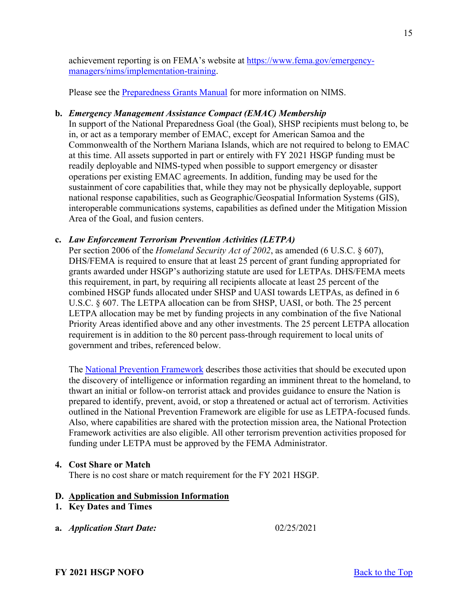achievement reporting is on FEMA's website at [https://www.fema.gov/emergency](https://www.fema.gov/emergency-managers/nims/implementation-training)[managers/nims/implementation-training.](https://www.fema.gov/emergency-managers/nims/implementation-training)

Please see the [Preparedness Grants Manual](https://www.fema.gov/media-library/assets/documents/178291) for more information on NIMS.

# **b.** *Emergency Management Assistance Compact (EMAC) Membership*

In support of the National Preparedness Goal (the Goal), SHSP recipients must belong to, be in, or act as a temporary member of EMAC, except for American Samoa and the Commonwealth of the Northern Mariana Islands, which are not required to belong to EMAC at this time. All assets supported in part or entirely with FY 2021 HSGP funding must be readily deployable and NIMS-typed when possible to support emergency or disaster operations per existing EMAC agreements. In addition, funding may be used for the sustainment of core capabilities that, while they may not be physically deployable, support national response capabilities, such as Geographic/Geospatial Information Systems (GIS), interoperable communications systems, capabilities as defined under the Mitigation Mission Area of the Goal, and fusion centers.

# **c.** *Law Enforcement Terrorism Prevention Activities (LETPA)*

Per section 2006 of the *Homeland Security Act of 2002*, as amended (6 U.S.C. § 607), DHS/FEMA is required to ensure that at least 25 percent of grant funding appropriated for grants awarded under HSGP's authorizing statute are used for LETPAs. DHS/FEMA meets this requirement, in part, by requiring all recipients allocate at least 25 percent of the combined HSGP funds allocated under SHSP and UASI towards LETPAs, as defined in 6 U.S.C. § 607. The LETPA allocation can be from SHSP, UASI, or both. The 25 percent LETPA allocation may be met by funding projects in any combination of the five National Priority Areas identified above and any other investments. The 25 percent LETPA allocation requirement is in addition to the 80 percent pass-through requirement to local units of government and tribes, referenced below.

The [National Prevention Framework](https://www.fema.gov/sites/default/files/2020-04/National_Prevention_Framework2nd-june2016.pdf) describes those activities that should be executed upon the discovery of intelligence or information regarding an imminent threat to the homeland, to thwart an initial or follow-on terrorist attack and provides guidance to ensure the Nation is prepared to identify, prevent, avoid, or stop a threatened or actual act of terrorism. Activities outlined in the National Prevention Framework are eligible for use as LETPA-focused funds. Also, where capabilities are shared with the protection mission area, the National Protection Framework activities are also eligible. All other terrorism prevention activities proposed for funding under LETPA must be approved by the FEMA Administrator.

# <span id="page-14-0"></span>**4. Cost Share or Match**

There is no cost share or match requirement for the FY 2021 HSGP.

# <span id="page-14-1"></span>**D. Application and Submission Information**

- <span id="page-14-2"></span>**1. Key Dates and Times**
- **a.** *Application Start Date:* 02/25/2021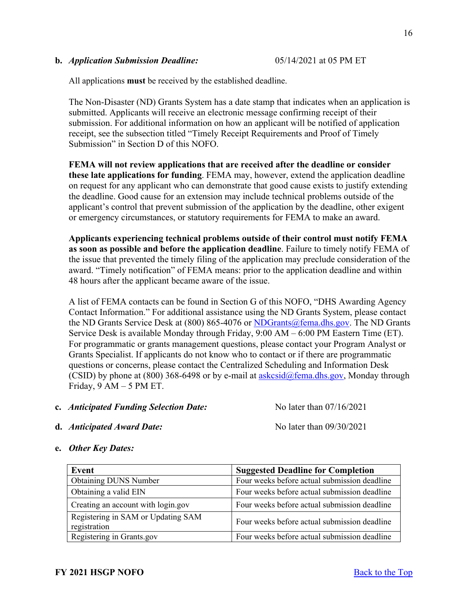#### **b.** *Application Submission Deadline:* 05/14/2021 at 05 PM ET

All applications **must** be received by the established deadline.

The Non-Disaster (ND) Grants System has a date stamp that indicates when an application is submitted. Applicants will receive an electronic message confirming receipt of their submission. For additional information on how an applicant will be notified of application receipt, see the subsection titled "Timely Receipt Requirements and Proof of Timely Submission" in Section D of this NOFO.

**FEMA will not review applications that are received after the deadline or consider these late applications for funding**. FEMA may, however, extend the application deadline on request for any applicant who can demonstrate that good cause exists to justify extending the deadline. Good cause for an extension may include technical problems outside of the applicant's control that prevent submission of the application by the deadline, other exigent or emergency circumstances, or statutory requirements for FEMA to make an award.

**Applicants experiencing technical problems outside of their control must notify FEMA as soon as possible and before the application deadline**. Failure to timely notify FEMA of the issue that prevented the timely filing of the application may preclude consideration of the award. "Timely notification" of FEMA means: prior to the application deadline and within 48 hours after the applicant became aware of the issue.

A list of FEMA contacts can be found in Section G of this NOFO, "DHS Awarding Agency Contact Information." For additional assistance using the ND Grants System, please contact the ND Grants Service Desk at (800) 865-4076 or [NDGrants@fema.dhs.gov.](mailto:NDGrants@fema.dhs.gov) The ND Grants Service Desk is available Monday through Friday, 9:00 AM – 6:00 PM Eastern Time (ET). For programmatic or grants management questions, please contact your Program Analyst or Grants Specialist. If applicants do not know who to contact or if there are programmatic questions or concerns, please contact the Centralized Scheduling and Information Desk (CSID) by phone at (800) 368-6498 or by e-mail at  $askcsid@fema.dhs.gov$ , Monday through Friday,  $9 AM - 5 PM ET$ .

**c.** *Anticipated Funding Selection Date:* No later than 07/16/2021

**d.** *Anticipated Award Date:*<br>No later than 09/30/2021

- **Event Suggested Deadline for Completion** Obtaining DUNS Number Four weeks before actual submission deadline Obtaining a valid EIN Four weeks before actual submission deadline Creating an account with login.gov Four weeks before actual submission deadline Registering in SAM or Updating SAM registration Four weeks before actual submission deadline Registering in Grants.gov Four weeks before actual submission deadline
- **e.** *Other Key Dates:*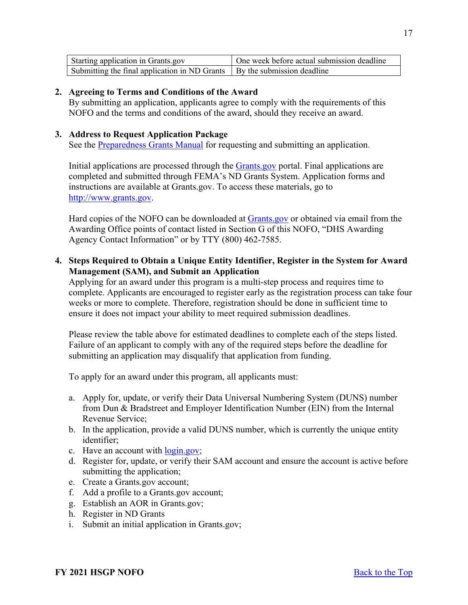| Starting application in Grants.gov                                         | One week before actual submission deadline |  |  |
|----------------------------------------------------------------------------|--------------------------------------------|--|--|
| Submitting the final application in ND Grants   By the submission deadline |                                            |  |  |

## <span id="page-16-0"></span>**2. Agreeing to Terms and Conditions of the Award**

By submitting an application, applicants agree to comply with the requirements of this NOFO and the terms and conditions of the award, should they receive an award.

## <span id="page-16-1"></span>**3. Address to Request Application Package**

See the [Preparedness Grants Manual](https://www.fema.gov/media-library/assets/documents/178291) for requesting and submitting an application.

Initial applications are processed through the **Grants** gov portal. Final applications are completed and submitted through FEMA's ND Grants System. Application forms and instructions are available at Grants.gov. To access these materials, go to [http://www.grants.gov.](http://www.grants.gov/)

Hard copies of the NOFO can be downloaded at [Grants.gov](https://www.grants.gov/) or obtained via email from the Awarding Office points of contact listed in Section G of this NOFO, "DHS Awarding Agency Contact Information" or by TTY (800) 462-7585.

# <span id="page-16-2"></span>**4. Steps Required to Obtain a Unique Entity Identifier, Register in the System for Award Management (SAM), and Submit an Application**

Applying for an award under this program is a multi-step process and requires time to complete. Applicants are encouraged to register early as the registration process can take four weeks or more to complete. Therefore, registration should be done in sufficient time to ensure it does not impact your ability to meet required submission deadlines.

Please review the table above for estimated deadlines to complete each of the steps listed. Failure of an applicant to comply with any of the required steps before the deadline for submitting an application may disqualify that application from funding.

To apply for an award under this program, all applicants must:

- a. Apply for, update, or verify their Data Universal Numbering System (DUNS) number from Dun & Bradstreet and Employer Identification Number (EIN) from the Internal Revenue Service;
- b. In the application, provide a valid DUNS number, which is currently the unique entity identifier;
- c. Have an account with [login.gov;](https://www.login.gov/)
- d. Register for, update, or verify their SAM account and ensure the account is active before submitting the application;
- e. Create a Grants.gov account;
- f. Add a profile to a Grants.gov account;
- g. Establish an AOR in Grants.gov;
- h. Register in ND Grants
- i. Submit an initial application in Grants.gov;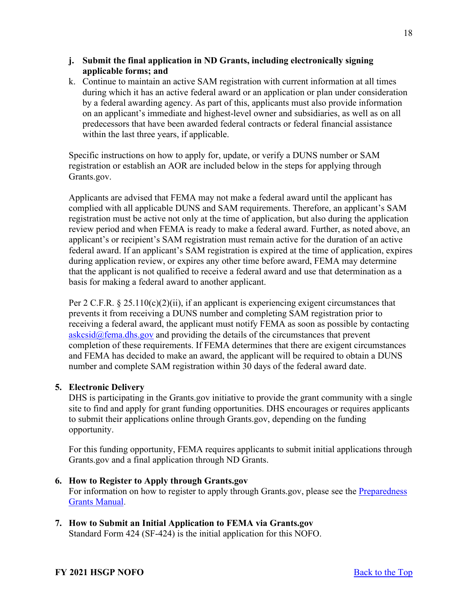- **j. Submit the final application in ND Grants, including electronically signing applicable forms; and**
- k. Continue to maintain an active SAM registration with current information at all times during which it has an active federal award or an application or plan under consideration by a federal awarding agency. As part of this, applicants must also provide information on an applicant's immediate and highest-level owner and subsidiaries, as well as on all predecessors that have been awarded federal contracts or federal financial assistance within the last three years, if applicable.

Specific instructions on how to apply for, update, or verify a DUNS number or SAM registration or establish an AOR are included below in the steps for applying through Grants.gov.

Applicants are advised that FEMA may not make a federal award until the applicant has complied with all applicable DUNS and SAM requirements. Therefore, an applicant's SAM registration must be active not only at the time of application, but also during the application review period and when FEMA is ready to make a federal award. Further, as noted above, an applicant's or recipient's SAM registration must remain active for the duration of an active federal award. If an applicant's SAM registration is expired at the time of application, expires during application review, or expires any other time before award, FEMA may determine that the applicant is not qualified to receive a federal award and use that determination as a basis for making a federal award to another applicant.

Per 2 C.F.R.  $\S 25.110(c)(2)(ii)$ , if an applicant is experiencing exigent circumstances that prevents it from receiving a DUNS number and completing SAM registration prior to receiving a federal award, the applicant must notify FEMA as soon as possible by contacting  $a$ skcsid $@$ fema.dhs.gov and providing the details of the circumstances that prevent completion of these requirements. If FEMA determines that there are exigent circumstances and FEMA has decided to make an award, the applicant will be required to obtain a DUNS number and complete SAM registration within 30 days of the federal award date.

# <span id="page-17-0"></span>**5. Electronic Delivery**

DHS is participating in the Grants.gov initiative to provide the grant community with a single site to find and apply for grant funding opportunities. DHS encourages or requires applicants to submit their applications online through Grants.gov, depending on the funding opportunity.

For this funding opportunity, FEMA requires applicants to submit initial applications through Grants.gov and a final application through ND Grants.

- <span id="page-17-1"></span>**6. How to Register to Apply through Grants.gov**  For information on how to register to apply through Grants.gov, please see the Preparedness [Grants Manual.](https://www.fema.gov/media-library/assets/documents/178291)
- <span id="page-17-2"></span>**7. How to Submit an Initial Application to FEMA via Grants.gov**  Standard Form 424 (SF-424) is the initial application for this NOFO.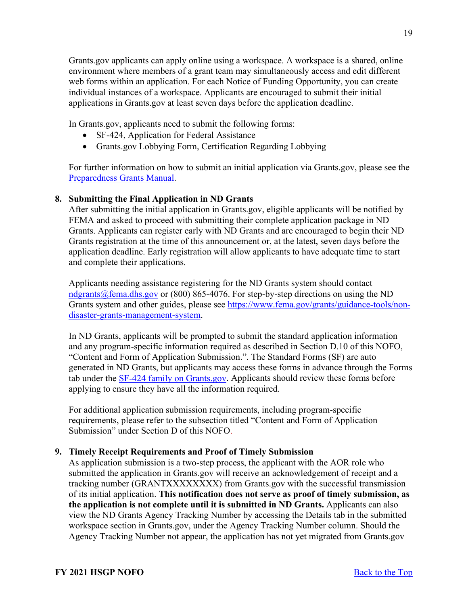Grants.gov applicants can apply online using a workspace. A workspace is a shared, online environment where members of a grant team may simultaneously access and edit different web forms within an application. For each Notice of Funding Opportunity, you can create individual instances of a workspace. Applicants are encouraged to submit their initial applications in Grants.gov at least seven days before the application deadline.

In Grants.gov, applicants need to submit the following forms:

- SF-424, Application for Federal Assistance
- Grants.gov Lobbying Form, Certification Regarding Lobbying

For further information on how to submit an initial application via Grants.gov, please see the [Preparedness Grants Manual.](https://www.fema.gov/media-library/assets/documents/178291)

# <span id="page-18-0"></span>**8. Submitting the Final Application in ND Grants**

After submitting the initial application in Grants.gov, eligible applicants will be notified by FEMA and asked to proceed with submitting their complete application package in ND Grants. Applicants can register early with ND Grants and are encouraged to begin their ND Grants registration at the time of this announcement or, at the latest, seven days before the application deadline. Early registration will allow applicants to have adequate time to start and complete their applications.

Applicants needing assistance registering for the ND Grants system should contact [ndgrants@fema.dhs.gov](mailto:ndgrants@fema.dhs.gov) or (800) 865-4076. For step-by-step directions on using the ND Grants system and other guides, please see [https://www.fema.gov/grants/guidance-tools/non](https://www.fema.gov/grants/guidance-tools/non-disaster-grants-management-system)[disaster-grants-management-system.](https://www.fema.gov/grants/guidance-tools/non-disaster-grants-management-system)

In ND Grants, applicants will be prompted to submit the standard application information and any program-specific information required as described in Section D.10 of this NOFO, "Content and Form of Application Submission.". The Standard Forms (SF) are auto generated in ND Grants, but applicants may access these forms in advance through the Forms tab under the [SF-424 family on Grants.gov.](https://www.grants.gov/forms/sf-424-family.html) Applicants should review these forms before applying to ensure they have all the information required.

For additional application submission requirements, including program-specific requirements, please refer to the subsection titled "Content and Form of Application Submission" under Section D of this NOFO.

# <span id="page-18-1"></span>**9. Timely Receipt Requirements and Proof of Timely Submission**

As application submission is a two-step process, the applicant with the AOR role who submitted the application in Grants.gov will receive an acknowledgement of receipt and a tracking number (GRANTXXXXXXXX) from Grants.gov with the successful transmission of its initial application. **This notification does not serve as proof of timely submission, as the application is not complete until it is submitted in ND Grants.** Applicants can also view the ND Grants Agency Tracking Number by accessing the Details tab in the submitted workspace section in Grants.gov, under the Agency Tracking Number column. Should the Agency Tracking Number not appear, the application has not yet migrated from Grants.gov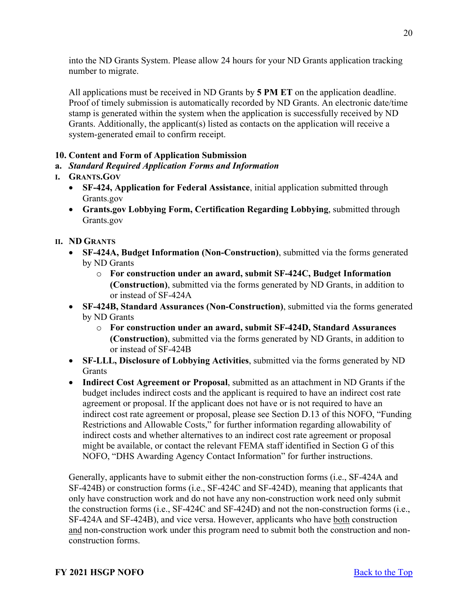into the ND Grants System. Please allow 24 hours for your ND Grants application tracking number to migrate.

All applications must be received in ND Grants by **5 PM ET** on the application deadline. Proof of timely submission is automatically recorded by ND Grants. An electronic date/time stamp is generated within the system when the application is successfully received by ND Grants. Additionally, the applicant(s) listed as contacts on the application will receive a system-generated email to confirm receipt.

# <span id="page-19-0"></span>**10. Content and Form of Application Submission**

# **a.** *Standard Required Application Forms and Information*

# **I. GRANTS.GOV**

- **SF-424, Application for Federal Assistance**, initial application submitted through Grants.gov
- **Grants.gov Lobbying Form, Certification Regarding Lobbying**, submitted through Grants.gov

# **II. ND GRANTS**

- **SF-424A, Budget Information (Non-Construction)**, submitted via the forms generated by ND Grants
	- o **For construction under an award, submit SF-424C, Budget Information (Construction)**, submitted via the forms generated by ND Grants, in addition to or instead of SF-424A
- **SF-424B, Standard Assurances (Non-Construction)**, submitted via the forms generated by ND Grants
	- o **For construction under an award, submit SF-424D, Standard Assurances (Construction)**, submitted via the forms generated by ND Grants, in addition to or instead of SF-424B
- **SF-LLL, Disclosure of Lobbying Activities**, submitted via the forms generated by ND **Grants**
- **Indirect Cost Agreement or Proposal**, submitted as an attachment in ND Grants if the budget includes indirect costs and the applicant is required to have an indirect cost rate agreement or proposal. If the applicant does not have or is not required to have an indirect cost rate agreement or proposal, please see Section D.13 of this NOFO, "Funding Restrictions and Allowable Costs," for further information regarding allowability of indirect costs and whether alternatives to an indirect cost rate agreement or proposal might be available, or contact the relevant FEMA staff identified in Section G of this NOFO, "DHS Awarding Agency Contact Information" for further instructions.

Generally, applicants have to submit either the non-construction forms (i.e., SF-424A and SF-424B) or construction forms (i.e., SF-424C and SF-424D), meaning that applicants that only have construction work and do not have any non-construction work need only submit the construction forms (i.e., SF-424C and SF-424D) and not the non-construction forms (i.e., SF-424A and SF-424B), and vice versa. However, applicants who have both construction and non-construction work under this program need to submit both the construction and nonconstruction forms.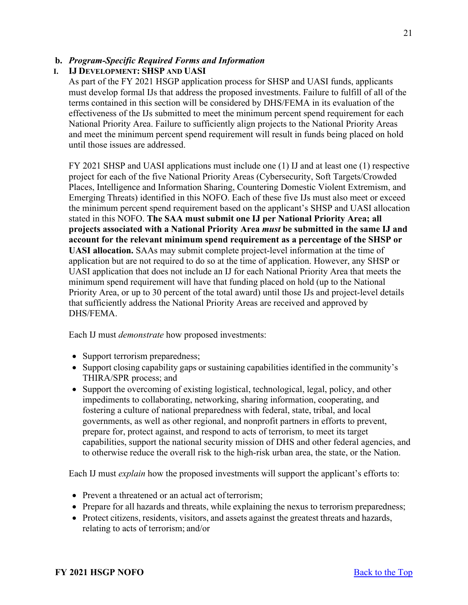# **b.** *Program-Specific Required Forms and Information*

# **I. IJ DEVELOPMENT: SHSP AND UASI**

As part of the FY 2021 HSGP application process for SHSP and UASI funds, applicants must develop formal IJs that address the proposed investments. Failure to fulfill of all of the terms contained in this section will be considered by DHS/FEMA in its evaluation of the effectiveness of the IJs submitted to meet the minimum percent spend requirement for each National Priority Area. Failure to sufficiently align projects to the National Priority Areas and meet the minimum percent spend requirement will result in funds being placed on hold until those issues are addressed.

FY 2021 SHSP and UASI applications must include one (1) IJ and at least one (1) respective project for each of the five National Priority Areas (Cybersecurity, Soft Targets/Crowded Places, Intelligence and Information Sharing, Countering Domestic Violent Extremism, and Emerging Threats) identified in this NOFO. Each of these five IJs must also meet or exceed the minimum percent spend requirement based on the applicant's SHSP and UASI allocation stated in this NOFO. **The SAA must submit one IJ per National Priority Area; all projects associated with a National Priority Area** *must* **be submitted in the same IJ and account for the relevant minimum spend requirement as a percentage of the SHSP or UASI allocation.** SAAs may submit complete project-level information at the time of application but are not required to do so at the time of application. However, any SHSP or UASI application that does not include an IJ for each National Priority Area that meets the minimum spend requirement will have that funding placed on hold (up to the National Priority Area, or up to 30 percent of the total award) until those IJs and project-level details that sufficiently address the National Priority Areas are received and approved by DHS/FEMA.

Each IJ must *demonstrate* how proposed investments:

- Support terrorism preparedness;
- Support closing capability gaps or sustaining capabilities identified in the community's THIRA/SPR process; and
- Support the overcoming of existing logistical, technological, legal, policy, and other impediments to collaborating, networking, sharing information, cooperating, and fostering a culture of national preparedness with federal, state, tribal, and local governments, as well as other regional, and nonprofit partners in efforts to prevent, prepare for, protect against, and respond to acts of terrorism, to meet its target capabilities, support the national security mission of DHS and other federal agencies, and to otherwise reduce the overall risk to the high-risk urban area, the state, or the Nation.

Each IJ must *explain* how the proposed investments will support the applicant's efforts to:

- Prevent a threatened or an actual act of terrorism;
- Prepare for all hazards and threats, while explaining the nexus to terrorism preparedness;
- Protect citizens, residents, visitors, and assets against the greatest threats and hazards, relating to acts of terrorism; and/or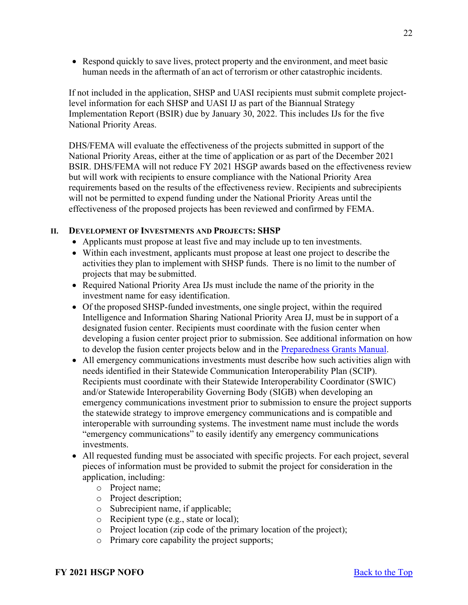• Respond quickly to save lives, protect property and the environment, and meet basic human needs in the aftermath of an act of terrorism or other catastrophic incidents.

If not included in the application, SHSP and UASI recipients must submit complete projectlevel information for each SHSP and UASI IJ as part of the Biannual Strategy Implementation Report (BSIR) due by January 30, 2022. This includes IJs for the five National Priority Areas.

DHS/FEMA will evaluate the effectiveness of the projects submitted in support of the National Priority Areas, either at the time of application or as part of the December 2021 BSIR. DHS/FEMA will not reduce FY 2021 HSGP awards based on the effectiveness review but will work with recipients to ensure compliance with the National Priority Area requirements based on the results of the effectiveness review. Recipients and subrecipients will not be permitted to expend funding under the National Priority Areas until the effectiveness of the proposed projects has been reviewed and confirmed by FEMA.

# **II. DEVELOPMENT OF INVESTMENTS AND PROJECTS: SHSP**

- Applicants must propose at least five and may include up to ten investments.
- Within each investment, applicants must propose at least one project to describe the activities they plan to implement with SHSP funds. There is no limit to the number of projects that may be submitted.
- Required National Priority Area IJs must include the name of the priority in the investment name for easy identification.
- Of the proposed SHSP-funded investments, one single project, within the required Intelligence and Information Sharing National Priority Area IJ, must be in support of a designated fusion center. Recipients must coordinate with the fusion center when developing a fusion center project prior to submission. See additional information on how to develop the fusion center projects below and in the [Preparedness Grants Manual.](https://www.fema.gov/media-library/assets/documents/178291)
- All emergency communications investments must describe how such activities align with needs identified in their Statewide Communication Interoperability Plan (SCIP). Recipients must coordinate with their Statewide Interoperability Coordinator (SWIC) and/or Statewide Interoperability Governing Body (SIGB) when developing an emergency communications investment prior to submission to ensure the project supports the statewide strategy to improve emergency communications and is compatible and interoperable with surrounding systems. The investment name must include the words "emergency communications" to easily identify any emergency communications investments.
- All requested funding must be associated with specific projects. For each project, several pieces of information must be provided to submit the project for consideration in the application, including:
	- o Project name;
	- o Project description;
	- o Subrecipient name, if applicable;
	- o Recipient type (e.g., state or local);
	- o Project location (zip code of the primary location of the project);
	- o Primary core capability the project supports;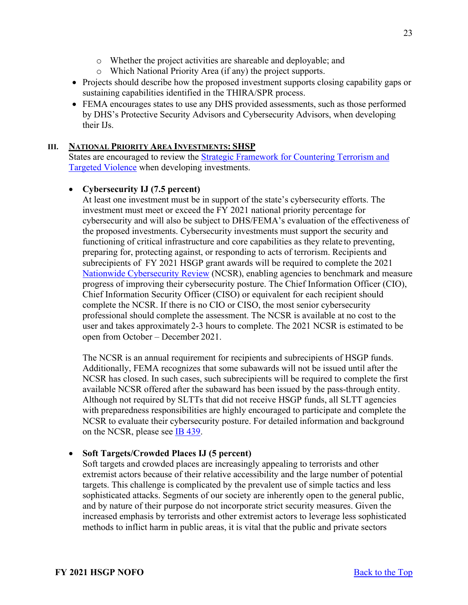- o Whether the project activities are shareable and deployable; and
- o Which National Priority Area (if any) the project supports.
- Projects should describe how the proposed investment supports closing capability gaps or sustaining capabilities identified in the THIRA/SPR process.
- FEMA encourages states to use any DHS provided assessments, such as those performed by DHS's Protective Security Advisors and Cybersecurity Advisors, when developing their IJs.

# **III. NATIONAL PRIORITY AREA INVESTMENTS: SHSP**

States are encouraged to review the [Strategic Framework for Countering Terrorism and](https://www.dhs.gov/publication/dhs-strategic-framework-countering-terrorism-and-targeted-violence)  [Targeted Violence](https://www.dhs.gov/publication/dhs-strategic-framework-countering-terrorism-and-targeted-violence) when developing investments.

# • **Cybersecurity IJ (7.5 percent)**

At least one investment must be in support of the state's cybersecurity efforts. The investment must meet or exceed the FY 2021 national priority percentage for cybersecurity and will also be subject to DHS/FEMA's evaluation of the effectiveness of the proposed investments. Cybersecurity investments must support the security and functioning of critical infrastructure and core capabilities as they relate to preventing, preparing for, protecting against, or responding to acts of terrorism. Recipients and subrecipients of FY 2021 HSGP grant awards will be required to complete the 2021 [Nationwide Cybersecurity Review](https://www.cisecurity.org/ms-isac/services/ncsr/) (NCSR), enabling agencies to benchmark and measure progress of improving their cybersecurity posture. The Chief Information Officer (CIO), Chief Information Security Officer (CISO) or equivalent for each recipient should complete the NCSR. If there is no CIO or CISO, the most senior cybersecurity professional should complete the assessment. The NCSR is available at no cost to the user and takes approximately 2-3 hours to complete. The 2021 NCSR is estimated to be open from October – December 2021.

The NCSR is an annual requirement for recipients and subrecipients of HSGP funds. Additionally, FEMA recognizes that some subawards will not be issued until after the NCSR has closed. In such cases, such subrecipients will be required to complete the first available NCSR offered after the subaward has been issued by the pass-through entity. Although not required by SLTTs that did not receive HSGP funds, all SLTT agencies with preparedness responsibilities are highly encouraged to participate and complete the NCSR to evaluate their cybersecurity posture. For detailed information and background on the NCSR, please see [IB 439.](https://www.fema.gov/sites/default/files/2020-08/ib_439_fy_2019__supplemental_ncsr_cybersecurity_041219.pdf)

# • **Soft Targets/Crowded Places IJ (5 percent)**

Soft targets and crowded places are increasingly appealing to terrorists and other extremist actors because of their relative accessibility and the large number of potential targets. This challenge is complicated by the prevalent use of simple tactics and less sophisticated attacks. Segments of our society are inherently open to the general public, and by nature of their purpose do not incorporate strict security measures. Given the increased emphasis by terrorists and other extremist actors to leverage less sophisticated methods to inflict harm in public areas, it is vital that the public and private sectors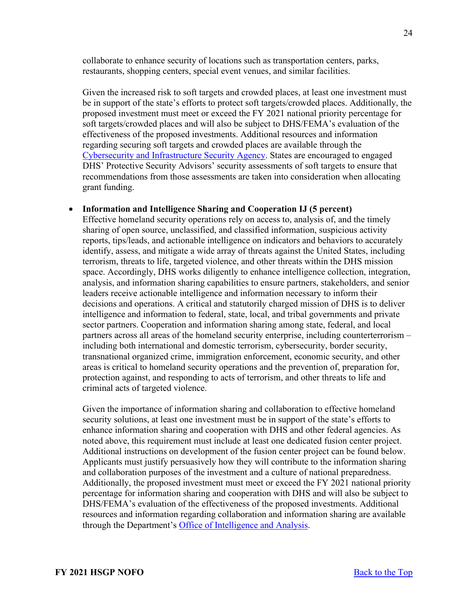collaborate to enhance security of locations such as transportation centers, parks, restaurants, shopping centers, special event venues, and similar facilities.

Given the increased risk to soft targets and crowded places, at least one investment must be in support of the state's efforts to protect soft targets/crowded places. Additionally, the proposed investment must meet or exceed the FY 2021 national priority percentage for soft targets/crowded places and will also be subject to DHS/FEMA's evaluation of the effectiveness of the proposed investments. Additional resources and information regarding securing soft targets and crowded places are available through the [Cybersecurity and Infrastructure Security Agency.](https://www.cisa.gov/securing-soft-targets-and-crowded-places) States are encouraged to engaged DHS' Protective Security Advisors' security assessments of soft targets to ensure that recommendations from those assessments are taken into consideration when allocating grant funding.

#### • **Information and Intelligence Sharing and Cooperation IJ (5 percent)**

Effective homeland security operations rely on access to, analysis of, and the timely sharing of open source, unclassified, and classified information, suspicious activity reports, tips/leads, and actionable intelligence on indicators and behaviors to accurately identify, assess, and mitigate a wide array of threats against the United States, including terrorism, threats to life, targeted violence, and other threats within the DHS mission space. Accordingly, DHS works diligently to enhance intelligence collection, integration, analysis, and information sharing capabilities to ensure partners, stakeholders, and senior leaders receive actionable intelligence and information necessary to inform their decisions and operations. A critical and statutorily charged mission of DHS is to deliver intelligence and information to federal, state, local, and tribal governments and private sector partners. Cooperation and information sharing among state, federal, and local partners across all areas of the homeland security enterprise, including counterterrorism – including both international and domestic terrorism, cybersecurity, border security, transnational organized crime, immigration enforcement, economic security, and other areas is critical to homeland security operations and the prevention of, preparation for, protection against, and responding to acts of terrorism, and other threats to life and criminal acts of targeted violence.

Given the importance of information sharing and collaboration to effective homeland security solutions, at least one investment must be in support of the state's efforts to enhance information sharing and cooperation with DHS and other federal agencies. As noted above, this requirement must include at least one dedicated fusion center project. Additional instructions on development of the fusion center project can be found below. Applicants must justify persuasively how they will contribute to the information sharing and collaboration purposes of the investment and a culture of national preparedness. Additionally, the proposed investment must meet or exceed the FY 2021 national priority percentage for information sharing and cooperation with DHS and will also be subject to DHS/FEMA's evaluation of the effectiveness of the proposed investments. Additional resources and information regarding collaboration and information sharing are available through the Department's [Office of Intelligence and Analysis.](https://www.dhs.gov/building-law-enforcement-and-homeland-security-partnerships)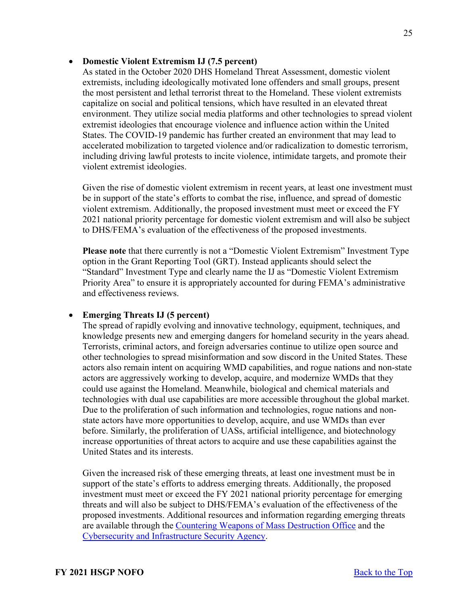## • **Domestic Violent Extremism IJ (7.5 percent)**

As stated in the October 2020 DHS Homeland Threat Assessment, domestic violent extremists, including ideologically motivated lone offenders and small groups, present the most persistent and lethal terrorist threat to the Homeland. These violent extremists capitalize on social and political tensions, which have resulted in an elevated threat environment. They utilize social media platforms and other technologies to spread violent extremist ideologies that encourage violence and influence action within the United States. The COVID-19 pandemic has further created an environment that may lead to accelerated mobilization to targeted violence and/or radicalization to domestic terrorism, including driving lawful protests to incite violence, intimidate targets, and promote their violent extremist ideologies.

Given the rise of domestic violent extremism in recent years, at least one investment must be in support of the state's efforts to combat the rise, influence, and spread of domestic violent extremism. Additionally, the proposed investment must meet or exceed the FY 2021 national priority percentage for domestic violent extremism and will also be subject to DHS/FEMA's evaluation of the effectiveness of the proposed investments.

**Please note** that there currently is not a "Domestic Violent Extremism" Investment Type option in the Grant Reporting Tool (GRT). Instead applicants should select the "Standard" Investment Type and clearly name the IJ as "Domestic Violent Extremism Priority Area" to ensure it is appropriately accounted for during FEMA's administrative and effectiveness reviews.

# • **Emerging Threats IJ (5 percent)**

The spread of rapidly evolving and innovative technology, equipment, techniques, and knowledge presents new and emerging dangers for homeland security in the years ahead. Terrorists, criminal actors, and foreign adversaries continue to utilize open source and other technologies to spread misinformation and sow discord in the United States. These actors also remain intent on acquiring WMD capabilities, and rogue nations and non-state actors are aggressively working to develop, acquire, and modernize WMDs that they could use against the Homeland. Meanwhile, biological and chemical materials and technologies with dual use capabilities are more accessible throughout the global market. Due to the proliferation of such information and technologies, rogue nations and nonstate actors have more opportunities to develop, acquire, and use WMDs than ever before. Similarly, the proliferation of UASs, artificial intelligence, and biotechnology increase opportunities of threat actors to acquire and use these capabilities against the United States and its interests.

Given the increased risk of these emerging threats, at least one investment must be in support of the state's efforts to address emerging threats. Additionally, the proposed investment must meet or exceed the FY 2021 national priority percentage for emerging threats and will also be subject to DHS/FEMA's evaluation of the effectiveness of the proposed investments. Additional resources and information regarding emerging threats are available through the [Countering Weapons of Mass Destruction Office](https://www.dhs.gov/topic/weapons-mass-destruction) and the [Cybersecurity and Infrastructure Security Agency.](https://www.cisa.gov/uas-critical-infrastructure)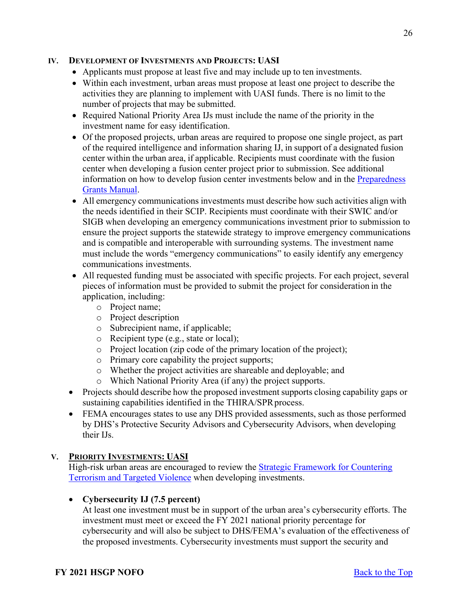## **IV. DEVELOPMENT OF INVESTMENTS AND PROJECTS: UASI**

- Applicants must propose at least five and may include up to ten investments.
- Within each investment, urban areas must propose at least one project to describe the activities they are planning to implement with UASI funds. There is no limit to the number of projects that may be submitted.
- Required National Priority Area IJs must include the name of the priority in the investment name for easy identification.
- Of the proposed projects, urban areas are required to propose one single project, as part of the required intelligence and information sharing IJ, in support of a designated fusion center within the urban area, if applicable. Recipients must coordinate with the fusion center when developing a fusion center project prior to submission. See additional information on how to develop fusion center investments below and in the [Preparedness](https://www.fema.gov/media-library/assets/documents/178291)  [Grants Manual.](https://www.fema.gov/media-library/assets/documents/178291)
- All emergency communications investments must describe how such activities align with the needs identified in their SCIP. Recipients must coordinate with their SWIC and/or SIGB when developing an emergency communications investment prior to submission to ensure the project supports the statewide strategy to improve emergency communications and is compatible and interoperable with surrounding systems. The investment name must include the words "emergency communications" to easily identify any emergency communications investments.
- All requested funding must be associated with specific projects. For each project, several pieces of information must be provided to submit the project for consideration in the application, including:
	- o Project name;
	- o Project description
	- o Subrecipient name, if applicable;
	- o Recipient type (e.g., state or local);
	- o Project location (zip code of the primary location of the project);
	- o Primary core capability the project supports;
	- o Whether the project activities are shareable and deployable; and
	- o Which National Priority Area (if any) the project supports.
- Projects should describe how the proposed investment supports closing capability gaps or sustaining capabilities identified in the THIRA/SPR process.
- FEMA encourages states to use any DHS provided assessments, such as those performed by DHS's Protective Security Advisors and Cybersecurity Advisors, when developing their IJs.

# **V. PRIORITY INVESTMENTS: UASI**

High-risk urban areas are encouraged to review the [Strategic Framework for Countering](https://www.dhs.gov/publication/dhs-strategic-framework-countering-terrorism-and-targeted-violence)  [Terrorism and Targeted Violence](https://www.dhs.gov/publication/dhs-strategic-framework-countering-terrorism-and-targeted-violence) when developing investments.

# • **Cybersecurity IJ (7.5 percent)**

At least one investment must be in support of the urban area's cybersecurity efforts. The investment must meet or exceed the FY 2021 national priority percentage for cybersecurity and will also be subject to DHS/FEMA's evaluation of the effectiveness of the proposed investments. Cybersecurity investments must support the security and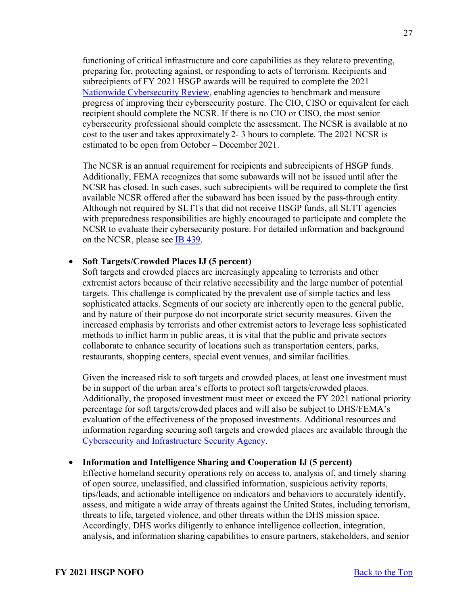functioning of critical infrastructure and core capabilities as they relate to preventing, preparing for, protecting against, or responding to acts of terrorism. Recipients and subrecipients of FY 2021 HSGP awards will be required to complete the 2021 [Nationwide Cybersecurity Review,](https://www.cisecurity.org/ms-isac/services/ncsr/) enabling agencies to benchmark and measure progress of improving their cybersecurity posture. The CIO, CISO or equivalent for each recipient should complete the NCSR. If there is no CIO or CISO, the most senior cybersecurity professional should complete the assessment. The NCSR is available at no cost to the user and takes approximately 2- 3 hours to complete. The 2021 NCSR is estimated to be open from October – December 2021.

The NCSR is an annual requirement for recipients and subrecipients of HSGP funds. Additionally, FEMA recognizes that some subawards will not be issued until after the NCSR has closed. In such cases, such subrecipients will be required to complete the first available NCSR offered after the subaward has been issued by the pass-through entity. Although not required by SLTTs that did not receive HSGP funds, all SLTT agencies with preparedness responsibilities are highly encouraged to participate and complete the NCSR to evaluate their cybersecurity posture. For detailed information and background on the NCSR, please see [IB 439.](https://www.fema.gov/sites/default/files/2020-08/ib_439_fy_2019__supplemental_ncsr_cybersecurity_041219.pdf)

# • **Soft Targets/Crowded Places IJ (5 percent)**

Soft targets and crowded places are increasingly appealing to terrorists and other extremist actors because of their relative accessibility and the large number of potential targets. This challenge is complicated by the prevalent use of simple tactics and less sophisticated attacks. Segments of our society are inherently open to the general public, and by nature of their purpose do not incorporate strict security measures. Given the increased emphasis by terrorists and other extremist actors to leverage less sophisticated methods to inflict harm in public areas, it is vital that the public and private sectors collaborate to enhance security of locations such as transportation centers, parks, restaurants, shopping centers, special event venues, and similar facilities.

Given the increased risk to soft targets and crowded places, at least one investment must be in support of the urban area's efforts to protect soft targets/crowded places. Additionally, the proposed investment must meet or exceed the FY 2021 national priority percentage for soft targets/crowded places and will also be subject to DHS/FEMA's evaluation of the effectiveness of the proposed investments. Additional resources and information regarding securing soft targets and crowded places are available through the [Cybersecurity and Infrastructure Security Agency.](https://www.cisa.gov/securing-soft-targets-and-crowded-places)

#### • **Information and Intelligence Sharing and Cooperation IJ (5 percent)**

Effective homeland security operations rely on access to, analysis of, and timely sharing of open source, unclassified, and classified information, suspicious activity reports, tips/leads, and actionable intelligence on indicators and behaviors to accurately identify, assess, and mitigate a wide array of threats against the United States, including terrorism, threats to life, targeted violence, and other threats within the DHS mission space. Accordingly, DHS works diligently to enhance intelligence collection, integration, analysis, and information sharing capabilities to ensure partners, stakeholders, and senior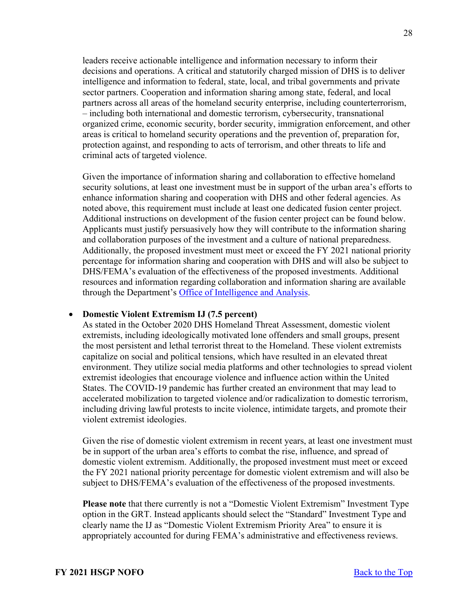leaders receive actionable intelligence and information necessary to inform their decisions and operations. A critical and statutorily charged mission of DHS is to deliver intelligence and information to federal, state, local, and tribal governments and private sector partners. Cooperation and information sharing among state, federal, and local partners across all areas of the homeland security enterprise, including counterterrorism, – including both international and domestic terrorism, cybersecurity, transnational organized crime, economic security, border security, immigration enforcement, and other areas is critical to homeland security operations and the prevention of, preparation for, protection against, and responding to acts of terrorism, and other threats to life and criminal acts of targeted violence.

Given the importance of information sharing and collaboration to effective homeland security solutions, at least one investment must be in support of the urban area's efforts to enhance information sharing and cooperation with DHS and other federal agencies. As noted above, this requirement must include at least one dedicated fusion center project. Additional instructions on development of the fusion center project can be found below. Applicants must justify persuasively how they will contribute to the information sharing and collaboration purposes of the investment and a culture of national preparedness. Additionally, the proposed investment must meet or exceed the FY 2021 national priority percentage for information sharing and cooperation with DHS and will also be subject to DHS/FEMA's evaluation of the effectiveness of the proposed investments. Additional resources and information regarding collaboration and information sharing are available through the Department's [Office of Intelligence and Analysis.](https://www.dhs.gov/building-law-enforcement-and-homeland-security-partnerships)

#### • **Domestic Violent Extremism IJ (7.5 percent)**

As stated in the October 2020 DHS Homeland Threat Assessment, domestic violent extremists, including ideologically motivated lone offenders and small groups, present the most persistent and lethal terrorist threat to the Homeland. These violent extremists capitalize on social and political tensions, which have resulted in an elevated threat environment. They utilize social media platforms and other technologies to spread violent extremist ideologies that encourage violence and influence action within the United States. The COVID-19 pandemic has further created an environment that may lead to accelerated mobilization to targeted violence and/or radicalization to domestic terrorism, including driving lawful protests to incite violence, intimidate targets, and promote their violent extremist ideologies.

Given the rise of domestic violent extremism in recent years, at least one investment must be in support of the urban area's efforts to combat the rise, influence, and spread of domestic violent extremism. Additionally, the proposed investment must meet or exceed the FY 2021 national priority percentage for domestic violent extremism and will also be subject to DHS/FEMA's evaluation of the effectiveness of the proposed investments.

**Please note** that there currently is not a "Domestic Violent Extremism" Investment Type option in the GRT. Instead applicants should select the "Standard" Investment Type and clearly name the IJ as "Domestic Violent Extremism Priority Area" to ensure it is appropriately accounted for during FEMA's administrative and effectiveness reviews.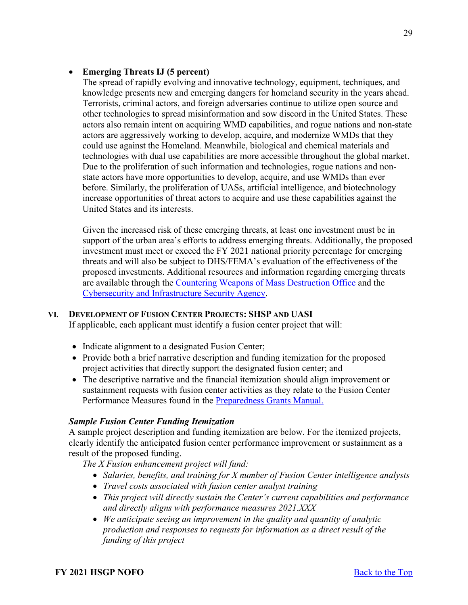# • **Emerging Threats IJ (5 percent)**

The spread of rapidly evolving and innovative technology, equipment, techniques, and knowledge presents new and emerging dangers for homeland security in the years ahead. Terrorists, criminal actors, and foreign adversaries continue to utilize open source and other technologies to spread misinformation and sow discord in the United States. These actors also remain intent on acquiring WMD capabilities, and rogue nations and non-state actors are aggressively working to develop, acquire, and modernize WMDs that they could use against the Homeland. Meanwhile, biological and chemical materials and technologies with dual use capabilities are more accessible throughout the global market. Due to the proliferation of such information and technologies, rogue nations and nonstate actors have more opportunities to develop, acquire, and use WMDs than ever before. Similarly, the proliferation of UASs, artificial intelligence, and biotechnology increase opportunities of threat actors to acquire and use these capabilities against the United States and its interests.

Given the increased risk of these emerging threats, at least one investment must be in support of the urban area's efforts to address emerging threats. Additionally, the proposed investment must meet or exceed the FY 2021 national priority percentage for emerging threats and will also be subject to DHS/FEMA's evaluation of the effectiveness of the proposed investments. Additional resources and information regarding emerging threats are available through the [Countering Weapons of Mass Destruction Office](https://www.dhs.gov/topic/weapons-mass-destruction) and the [Cybersecurity and Infrastructure Security Agency.](https://www.cisa.gov/uas-critical-infrastructure)

# **VI. DEVELOPMENT OF FUSION CENTER PROJECTS: SHSP AND UASI**

If applicable, each applicant must identify a fusion center project that will:

- Indicate alignment to a designated Fusion Center;
- Provide both a brief narrative description and funding itemization for the proposed project activities that directly support the designated fusion center; and
- The descriptive narrative and the financial itemization should align improvement or sustainment requests with fusion center activities as they relate to the Fusion Center Performance Measures found in the [Preparedness Grants Manual.](https://www.fema.gov/media-library/assets/documents/178291)

# *Sample Fusion Center Funding Itemization*

A sample project description and funding itemization are below. For the itemized projects, clearly identify the anticipated fusion center performance improvement or sustainment as a result of the proposed funding.

*The X Fusion enhancement project will fund:* 

- *Salaries, benefits, and training for X number of Fusion Center intelligence analysts*
- *Travel costs associated with fusion center analyst training*
- *This project will directly sustain the Center's current capabilities and performance and directly aligns with performance measures 2021.XXX*
- *We anticipate seeing an improvement in the quality and quantity of analytic production and responses to requests for information as a direct result of the funding of this project*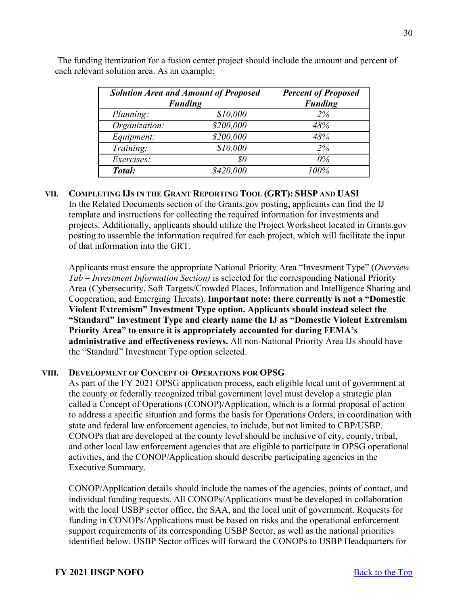| <b>Solution Area and Amount of Proposed</b><br><b>Funding</b> |                             | <b>Percent of Proposed</b><br><b>Funding</b> |  |  |
|---------------------------------------------------------------|-----------------------------|----------------------------------------------|--|--|
| Planning:                                                     | \$10,000                    | 2%                                           |  |  |
| Organization:                                                 | \$200,000                   | 48%                                          |  |  |
| Equipment:                                                    | \$200,000                   | 48%                                          |  |  |
| Training:                                                     | \$10,000                    | 2%                                           |  |  |
| Exercises:                                                    | $\mathcal{S}^{\mathcal{O}}$ | $0\%$                                        |  |  |
| Total:                                                        | \$420,000                   | 100%                                         |  |  |

 The funding itemization for a fusion center project should include the amount and percent of each relevant solution area. As an example:

# **VII. COMPLETING IJS IN THE GRANT REPORTING TOOL (GRT): SHSP AND UASI**

In the Related Documents section of the [Grants.gov p](http://www.grants.gov/)osting, applicants can find the IJ template and instructions for collecting the required information for investments and projects. Additionally, applicants should utilize the Project Worksheet located in [Grants.gov](http://www.grants.gov/) posting to assemble the information required for each project, which will facilitate the input of that information into the GRT.

Applicants must ensure the appropriate National Priority Area "Investment Type" (*Overview Tab – Investment Information Section)* is selected for the corresponding National Priority Area (Cybersecurity, Soft Targets/Crowded Places, Information and Intelligence Sharing and Cooperation, and Emerging Threats). **Important note: there currently is not a "Domestic Violent Extremism" Investment Type option. Applicants should instead select the "Standard" Investment Type and clearly name the IJ as "Domestic Violent Extremism Priority Area" to ensure it is appropriately accounted for during FEMA's administrative and effectiveness reviews.** All non-National Priority Area IJs should have the "Standard" Investment Type option selected.

#### **VIII. DEVELOPMENT OF CONCEPT OF OPERATIONS FOR OPSG**

As part of the FY 2021 OPSG application process, each eligible local unit of government at the county or federally recognized tribal government level must develop a strategic plan called a Concept of Operations (CONOP)/Application, which is a formal proposal of action to address a specific situation and forms the basis for Operations Orders, in coordination with state and federal law enforcement agencies, to include, but not limited to CBP/USBP. CONOPs that are developed at the county level should be inclusive of city, county, tribal, and other local law enforcement agencies that are eligible to participate in OPSG operational activities, and the CONOP/Application should describe participating agencies in the Executive Summary.

CONOP/Application details should include the names of the agencies, points of contact, and individual funding requests. All CONOPs/Applications must be developed in collaboration with the local USBP sector office, the SAA, and the local unit of government. Requests for funding in CONOPs/Applications must be based on risks and the operational enforcement support requirements of its corresponding USBP Sector, as well as the national priorities identified below. USBP Sector offices will forward the CONOPs to USBP Headquarters for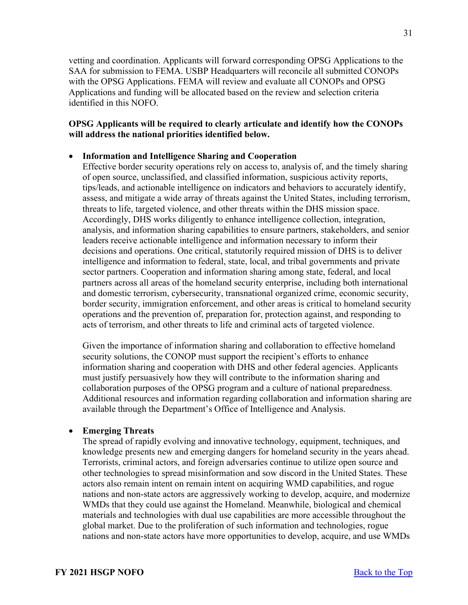vetting and coordination. Applicants will forward corresponding OPSG Applications to the SAA for submission to FEMA. USBP Headquarters will reconcile all submitted CONOPs with the OPSG Applications. FEMA will review and evaluate all CONOPs and OPSG Applications and funding will be allocated based on the review and selection criteria identified in this NOFO.

# **OPSG Applicants will be required to clearly articulate and identify how the CONOPs will address the national priorities identified below.**

# • **Information and Intelligence Sharing and Cooperation**

Effective border security operations rely on access to, analysis of, and the timely sharing of open source, unclassified, and classified information, suspicious activity reports, tips/leads, and actionable intelligence on indicators and behaviors to accurately identify, assess, and mitigate a wide array of threats against the United States, including terrorism, threats to life, targeted violence, and other threats within the DHS mission space. Accordingly, DHS works diligently to enhance intelligence collection, integration, analysis, and information sharing capabilities to ensure partners, stakeholders, and senior leaders receive actionable intelligence and information necessary to inform their decisions and operations. One critical, statutorily required mission of DHS is to deliver intelligence and information to federal, state, local, and tribal governments and private sector partners. Cooperation and information sharing among state, federal, and local partners across all areas of the homeland security enterprise, including both international and domestic terrorism, cybersecurity, transnational organized crime, economic security, border security, immigration enforcement, and other areas is critical to homeland security operations and the prevention of, preparation for, protection against, and responding to acts of terrorism, and other threats to life and criminal acts of targeted violence.

Given the importance of information sharing and collaboration to effective homeland security solutions, the CONOP must support the recipient's efforts to enhance information sharing and cooperation with DHS and other federal agencies. Applicants must justify persuasively how they will contribute to the information sharing and collaboration purposes of the OPSG program and a culture of national preparedness. Additional resources and information regarding collaboration and information sharing are available through the Department's Office of Intelligence and Analysis.

# • **Emerging Threats**

The spread of rapidly evolving and innovative technology, equipment, techniques, and knowledge presents new and emerging dangers for homeland security in the years ahead. Terrorists, criminal actors, and foreign adversaries continue to utilize open source and other technologies to spread misinformation and sow discord in the United States. These actors also remain intent on remain intent on acquiring WMD capabilities, and rogue nations and non-state actors are aggressively working to develop, acquire, and modernize WMDs that they could use against the Homeland. Meanwhile, biological and chemical materials and technologies with dual use capabilities are more accessible throughout the global market. Due to the proliferation of such information and technologies, rogue nations and non-state actors have more opportunities to develop, acquire, and use WMDs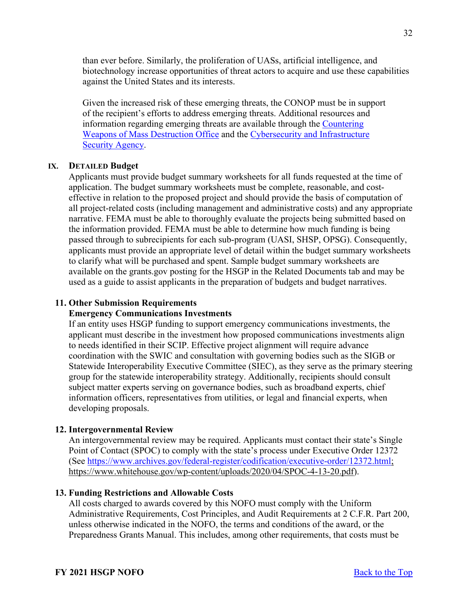than ever before. Similarly, the proliferation of UASs, artificial intelligence, and biotechnology increase opportunities of threat actors to acquire and use these capabilities against the United States and its interests.

Given the increased risk of these emerging threats, the CONOP must be in support of the recipient's efforts to address emerging threats. Additional resources and information regarding emerging threats are available through the [Countering](https://www.dhs.gov/topic/weapons-mass-destruction)  [Weapons of Mass Destruction Office](https://www.dhs.gov/topic/weapons-mass-destruction) and the Cybersecurity [and Infrastructure](https://www.cisa.gov/uas-critical-infrastructure)  [Security Agency.](https://www.cisa.gov/uas-critical-infrastructure)

#### **IX. DETAILED Budget**

Applicants must provide budget summary worksheets for all funds requested at the time of application. The budget summary worksheets must be complete, reasonable, and costeffective in relation to the proposed project and should provide the basis of computation of all project-related costs (including management and administrative costs) and any appropriate narrative. FEMA must be able to thoroughly evaluate the projects being submitted based on the information provided. FEMA must be able to determine how much funding is being passed through to subrecipients for each sub-program (UASI, SHSP, OPSG). Consequently, applicants must provide an appropriate level of detail within the budget summary worksheets to clarify what will be purchased and spent. Sample budget summary worksheets are available on the grants.gov posting for the HSGP in the Related Documents tab and may be used as a guide to assist applicants in the preparation of budgets and budget narratives.

#### <span id="page-31-0"></span>**11. Other Submission Requirements**

#### **Emergency Communications Investments**

If an entity uses HSGP funding to support emergency communications investments, the applicant must describe in the investment how proposed communications investments align to needs identified in their SCIP. Effective project alignment will require advance coordination with the SWIC and consultation with governing bodies such as the SIGB or Statewide Interoperability Executive Committee (SIEC), as they serve as the primary steering group for the statewide interoperability strategy. Additionally, recipients should consult subject matter experts serving on governance bodies, such as broadband experts, chief information officers, representatives from utilities, or legal and financial experts, when developing proposals.

#### <span id="page-31-1"></span>**12. Intergovernmental Review**

An intergovernmental review may be required. Applicants must contact their state's Single Point of Contact (SPOC) to comply with the state's process under Executive Order 12372 (See [https://www.archives.gov/federal-register/codification/executive-order/12372.html;](https://www.archives.gov/federal-register/codification/executive-order/12372.html) https://www.whitehouse.gov/wp-content/uploads/2020/04/SPOC-4-13-20.pdf).

#### <span id="page-31-2"></span>**13. Funding Restrictions and Allowable Costs**

All costs charged to awards covered by this NOFO must comply with the Uniform Administrative Requirements, Cost Principles, and Audit Requirements at 2 C.F.R. Part 200, unless otherwise indicated in the NOFO, the terms and conditions of the award, or the Preparedness Grants Manual. This includes, among other requirements, that costs must be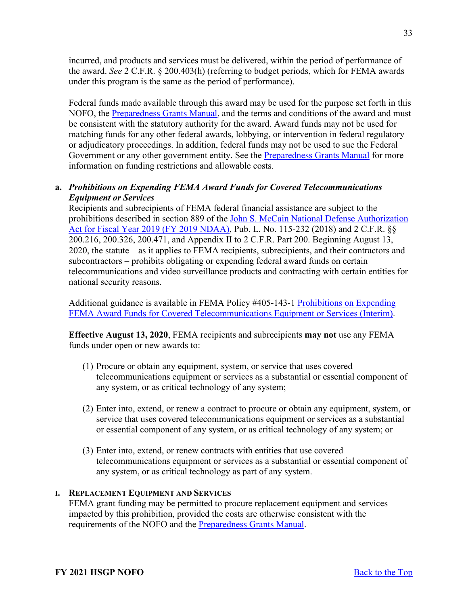incurred, and products and services must be delivered, within the period of performance of the award. *See* 2 C.F.R. § 200.403(h) (referring to budget periods, which for FEMA awards under this program is the same as the period of performance).

Federal funds made available through this award may be used for the purpose set forth in this NOFO, the [Preparedness Grants Manual,](https://www.fema.gov/media-library/assets/documents/178291) and the terms and conditions of the award and must be consistent with the statutory authority for the award. Award funds may not be used for matching funds for any other federal awards, lobbying, or intervention in federal regulatory or adjudicatory proceedings. In addition, federal funds may not be used to sue the Federal Government or any other government entity. See the [Preparedness Grants Manual](https://www.fema.gov/media-library/assets/documents/178291) for more information on funding restrictions and allowable costs.

# **a.** *Prohibitions on Expending FEMA Award Funds for Covered Telecommunications Equipment or Services*

Recipients and subrecipients of FEMA federal financial assistance are subject to the prohibitions described in section 889 of the [John S. McCain National Defense Authorization](https://www.congress.gov/bill/115th-congress/house-bill/5515/text?format=txt)  [Act for Fiscal Year 2019 \(FY 2019 NDAA\),](https://www.congress.gov/bill/115th-congress/house-bill/5515/text?format=txt) Pub. L. No. 115-232 (2018) and 2 C.F.R. §§ 200.216, 200.326, 200.471, and Appendix II to 2 C.F.R. Part 200. Beginning August 13, 2020, the statute – as it applies to FEMA recipients, subrecipients, and their contractors and subcontractors – prohibits obligating or expending federal award funds on certain telecommunications and video surveillance products and contracting with certain entities for national security reasons.

Additional guidance is available in FEMA Policy #405-143-1 [Prohibitions on Expending](https://www.fema.gov/sites/default/files/documents/fema_prohibitions-expending-fema-award-funds-covered-telecommunications-equipment-services.pdf)  [FEMA Award Funds for Covered Telecommunications Equipment or Services \(Interim\).](https://www.fema.gov/sites/default/files/documents/fema_prohibitions-expending-fema-award-funds-covered-telecommunications-equipment-services.pdf)

**Effective August 13, 2020**, FEMA recipients and subrecipients **may not** use any FEMA funds under open or new awards to:

- (1) Procure or obtain any equipment, system, or service that uses covered telecommunications equipment or services as a substantial or essential component of any system, or as critical technology of any system;
- (2) Enter into, extend, or renew a contract to procure or obtain any equipment, system, or service that uses covered telecommunications equipment or services as a substantial or essential component of any system, or as critical technology of any system; or
- (3) Enter into, extend, or renew contracts with entities that use covered telecommunications equipment or services as a substantial or essential component of any system, or as critical technology as part of any system.

# **I. REPLACEMENT EQUIPMENT AND SERVICES**

FEMA grant funding may be permitted to procure replacement equipment and services impacted by this prohibition, provided the costs are otherwise consistent with the requirements of the NOFO and the [Preparedness Grants Manual.](https://www.fema.gov/media-library/assets/documents/178291)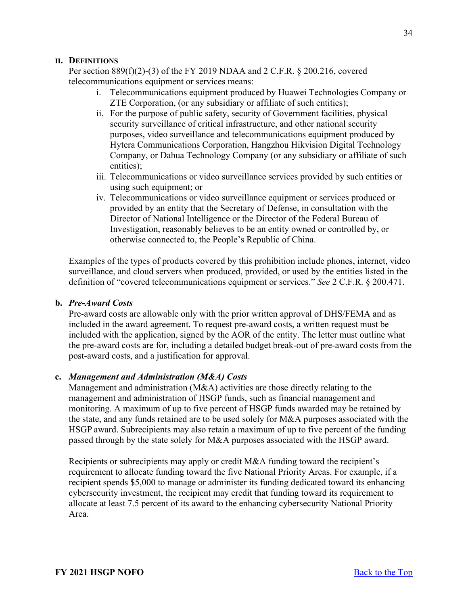# **II. DEFINITIONS**

Per section 889(f)(2)-(3) of the FY 2019 NDAA and 2 C.F.R. § 200.216, covered telecommunications equipment or services means:

- i. Telecommunications equipment produced by Huawei Technologies Company or ZTE Corporation, (or any subsidiary or affiliate of such entities);
- ii. For the purpose of public safety, security of Government facilities, physical security surveillance of critical infrastructure, and other national security purposes, video surveillance and telecommunications equipment produced by Hytera Communications Corporation, Hangzhou Hikvision Digital Technology Company, or Dahua Technology Company (or any subsidiary or affiliate of such entities);
- iii. Telecommunications or video surveillance services provided by such entities or using such equipment; or
- iv. Telecommunications or video surveillance equipment or services produced or provided by an entity that the Secretary of Defense, in consultation with the Director of National Intelligence or the Director of the Federal Bureau of Investigation, reasonably believes to be an entity owned or controlled by, or otherwise connected to, the People's Republic of China.

Examples of the types of products covered by this prohibition include phones, internet, video surveillance, and cloud servers when produced, provided, or used by the entities listed in the definition of "covered telecommunications equipment or services." *See* 2 C.F.R. § 200.471.

## **b.** *Pre-Award Costs*

Pre-award costs are allowable only with the prior written approval of DHS/FEMA and as included in the award agreement. To request pre-award costs, a written request must be included with the application, signed by the AOR of the entity. The letter must outline what the pre-award costs are for, including a detailed budget break-out of pre-award costs from the post-award costs, and a justification for approval.

#### **c.** *Management and Administration (M&A) Costs*

Management and administration (M&A) activities are those directly relating to the management and administration of HSGP funds, such as financial management and monitoring. A maximum of up to five percent of HSGP funds awarded may be retained by the state, and any funds retained are to be used solely for M&A purposes associated with the HSGP award. Subrecipients may also retain a maximum of up to five percent of the funding passed through by the state solely for M&A purposes associated with the HSGP award.

Recipients or subrecipients may apply or credit M&A funding toward the recipient's requirement to allocate funding toward the five National Priority Areas. For example, if a recipient spends \$5,000 to manage or administer its funding dedicated toward its enhancing cybersecurity investment, the recipient may credit that funding toward its requirement to allocate at least 7.5 percent of its award to the enhancing cybersecurity National Priority Area.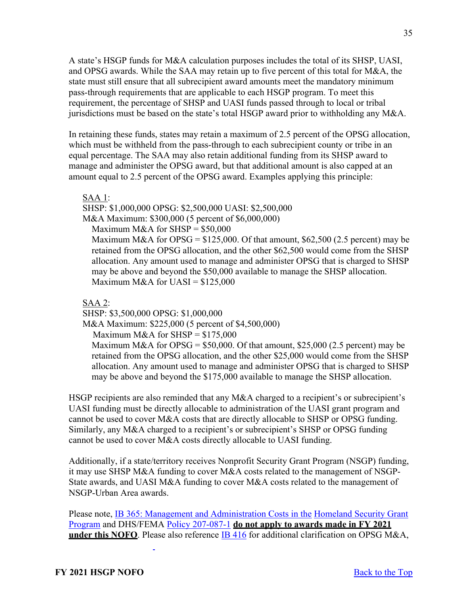A state's HSGP funds for M&A calculation purposes includes the total of its SHSP, UASI, and OPSG awards. While the SAA may retain up to five percent of this total for M&A, the state must still ensure that all subrecipient award amounts meet the mandatory minimum pass-through requirements that are applicable to each HSGP program. To meet this requirement, the percentage of SHSP and UASI funds passed through to local or tribal jurisdictions must be based on the state's total HSGP award prior to withholding any M&A.

In retaining these funds, states may retain a maximum of 2.5 percent of the OPSG allocation, which must be withheld from the pass-through to each subrecipient county or tribe in an equal percentage. The SAA may also retain additional funding from its SHSP award to manage and administer the OPSG award, but that additional amount is also capped at an amount equal to 2.5 percent of the OPSG award. Examples applying this principle:

SAA 1:

SHSP: \$1,000,000 OPSG: \$2,500,000 UASI: \$2,500,000

M&A Maximum: \$300,000 (5 percent of \$6,000,000)

Maximum M&A for  $SHSP = $50,000$ 

Maximum M&A for OPSG =  $$125,000$ . Of that amount,  $$62,500$  (2.5 percent) may be retained from the OPSG allocation, and the other \$62,500 would come from the SHSP allocation. Any amount used to manage and administer OPSG that is charged to SHSP may be above and beyond the \$50,000 available to manage the SHSP allocation. Maximum M&A for UASI =  $$125,000$ 

SAA 2:

SHSP: \$3,500,000 OPSG: \$1,000,000

M&A Maximum: \$225,000 (5 percent of \$4,500,000)

Maximum M&A for  $SHSP = $175,000$ 

Maximum M&A for OPSG =  $$50,000$ . Of that amount, \$25,000 (2.5 percent) may be retained from the OPSG allocation, and the other \$25,000 would come from the SHSP allocation. Any amount used to manage and administer OPSG that is charged to SHSP may be above and beyond the \$175,000 available to manage the SHSP allocation.

HSGP recipients are also reminded that any M&A charged to a recipient's or subrecipient's UASI funding must be directly allocable to administration of the UASI grant program and cannot be used to cover M&A costs that are directly allocable to SHSP or OPSG funding. Similarly, any M&A charged to a recipient's or subrecipient's SHSP or OPSG funding cannot be used to cover M&A costs directly allocable to UASI funding.

Additionally, if a state/territory receives Nonprofit Security Grant Program (NSGP) funding, it may use SHSP M&A funding to cover M&A costs related to the management of NSGP-State awards, and UASI M&A funding to cover M&A costs related to the management of NSGP-Urban Area awards.

Please note, [IB 365: Management and Administration Costs in the](https://www.fema.gov/pdf/government/grant/bulletins/info365.pdf) [Homeland Security Grant](https://www.fema.gov/pdf/government/grant/bulletins/info365.pdf)  [Program a](https://www.fema.gov/pdf/government/grant/bulletins/info365.pdf)nd DHS/FEMA [Policy 207-087-1](https://www.fema.gov/sites/default/files/2020-08/fema_clarification-allowable-m-a-costs-under-opsg.pdf) **do not apply to awards made in FY 2021 under this NOFO**. Please also reference [IB 416](https://www.fema.gov/sites/default/files/2020-08/Clarif_of_Allow_MA_Costs_Under_OPSG_IB_Final_06272017.pdf) for additional clarification on OPSG M&A,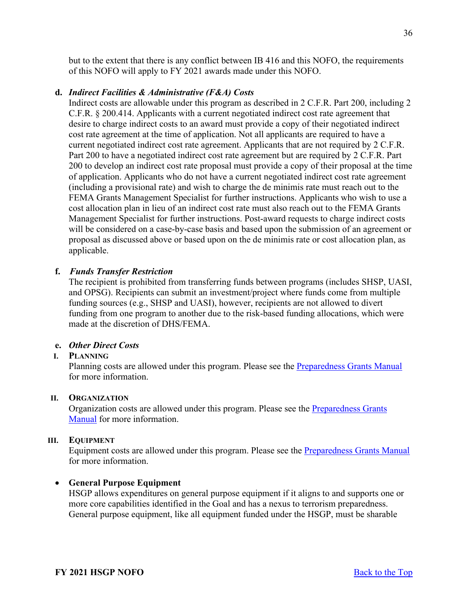but to the extent that there is any conflict between IB 416 and this NOFO, the requirements of this NOFO will apply to FY 2021 awards made under this NOFO.

#### **d.** *Indirect Facilities & Administrative (F&A) Costs*

Indirect costs are allowable under this program as described in 2 C.F.R. Part 200, including 2 C.F.R. § 200.414. Applicants with a current negotiated indirect cost rate agreement that desire to charge indirect costs to an award must provide a copy of their negotiated indirect cost rate agreement at the time of application. Not all applicants are required to have a current negotiated indirect cost rate agreement. Applicants that are not required by 2 C.F.R. Part 200 to have a negotiated indirect cost rate agreement but are required by 2 C.F.R. Part 200 to develop an indirect cost rate proposal must provide a copy of their proposal at the time of application. Applicants who do not have a current negotiated indirect cost rate agreement (including a provisional rate) and wish to charge the de minimis rate must reach out to the FEMA Grants Management Specialist for further instructions. Applicants who wish to use a cost allocation plan in lieu of an indirect cost rate must also reach out to the FEMA Grants Management Specialist for further instructions. Post-award requests to charge indirect costs will be considered on a case-by-case basis and based upon the submission of an agreement or proposal as discussed above or based upon on the de minimis rate or cost allocation plan, as applicable.

## **f.** *Funds Transfer Restriction*

The recipient is prohibited from transferring funds between programs (includes SHSP, UASI, and OPSG). Recipients can submit an investment/project where funds come from multiple funding sources (e.g., SHSP and UASI), however, recipients are not allowed to divert funding from one program to another due to the risk-based funding allocations, which were made at the discretion of DHS/FEMA.

#### **e.** *Other Direct Costs*

#### **I. PLANNING**

Planning costs are allowed under this program. Please see the [Preparedness Grants Manual](https://www.fema.gov/media-library/assets/documents/178291) for more information.

#### **II. ORGANIZATION**

Organization costs are allowed under this program. Please see the [Preparedness Grants](https://www.fema.gov/media-library/assets/documents/178291)  [Manual](https://www.fema.gov/media-library/assets/documents/178291) for more information.

#### **III. EQUIPMENT**

Equipment costs are allowed under this program. Please see the [Preparedness Grants Manual](https://www.fema.gov/media-library/assets/documents/178291) for more information.

#### • **General Purpose Equipment**

HSGP allows expenditures on general purpose equipment if it aligns to and supports one or more core capabilities identified in the Goal and has a nexus to terrorism preparedness. General purpose equipment, like all equipment funded under the HSGP, must be sharable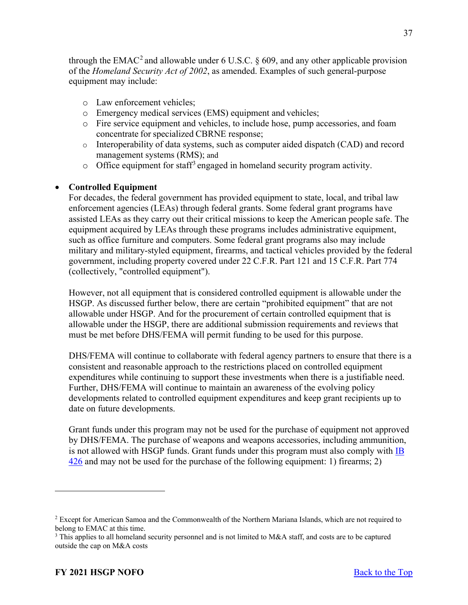through the EMAC<sup>[2](#page-36-0)</sup> and allowable under 6 U.S.C. § 609, and any other applicable provision of the *Homeland Security Act of 2002*, as amended. Examples of such general-purpose equipment may include:

- o Law enforcement vehicles;
- o Emergency medical services (EMS) equipment and vehicles;
- o Fire service equipment and vehicles, to include hose, pump accessories, and foam concentrate for specialized CBRNE response;
- o Interoperability of data systems, such as computer aided dispatch (CAD) and record management systems (RMS); and
- $\circ$  Office equipment for staff<sup>[3](#page-36-1)</sup> engaged in homeland security program activity.

# • **Controlled Equipment**

For decades, the federal government has provided equipment to state, local, and tribal law enforcement agencies (LEAs) through federal grants. Some federal grant programs have assisted LEAs as they carry out their critical missions to keep the American people safe. The equipment acquired by LEAs through these programs includes administrative equipment, such as office furniture and computers. Some federal grant programs also may include military and military-styled equipment, firearms, and tactical vehicles provided by the federal government, including property covered under 22 C.F.R. Part 121 and 15 C.F.R. Part 774 (collectively, "controlled equipment").

However, not all equipment that is considered controlled equipment is allowable under the HSGP. As discussed further below, there are certain "prohibited equipment" that are not allowable under HSGP. And for the procurement of certain controlled equipment that is allowable under the HSGP, there are additional submission requirements and reviews that must be met before DHS/FEMA will permit funding to be used for this purpose.

DHS/FEMA will continue to collaborate with federal agency partners to ensure that there is a consistent and reasonable approach to the restrictions placed on controlled equipment expenditures while continuing to support these investments when there is a justifiable need. Further, DHS/FEMA will continue to maintain an awareness of the evolving policy developments related to controlled equipment expenditures and keep grant recipients up to date on future developments.

Grant funds under this program may not be used for the purchase of equipment not approved by DHS/FEMA. The purchase of weapons and weapons accessories, including ammunition, is not allowed with HSGP funds. Grant funds under this program must also comply with IB [426](https://www.fema.gov/sites/default/files/2020-08/ib_426_controlled_equipment_recission__11-1-17.pdf) and may not be used for the purchase of the following equipment: 1) firearms; 2)

<span id="page-36-0"></span><sup>&</sup>lt;sup>2</sup> Except for American Samoa and the Commonwealth of the Northern Mariana Islands, which are not required to belong to EMAC at this time.

<span id="page-36-1"></span><sup>&</sup>lt;sup>3</sup> This applies to all homeland security personnel and is not limited to M&A staff, and costs are to be captured outside the cap on M&A costs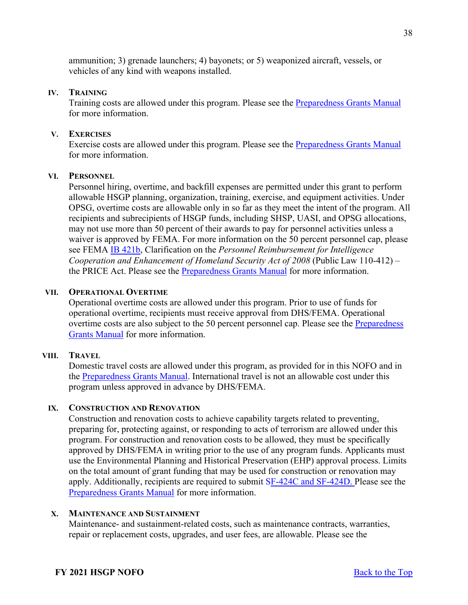ammunition; 3) grenade launchers; 4) bayonets; or 5) weaponized aircraft, vessels, or vehicles of any kind with weapons installed.

#### **IV. TRAINING**

Training costs are allowed under this program. Please see the [Preparedness Grants Manual](https://www.fema.gov/media-library/assets/documents/178291) for more information.

#### **V. EXERCISES**

Exercise costs are allowed under this program. Please see the [Preparedness Grants Manual](https://www.fema.gov/media-library/assets/documents/178291) for more information.

# **VI. PERSONNEL**

Personnel hiring, overtime, and backfill expenses are permitted under this grant to perform allowable HSGP planning, organization, training, exercise, and equipment activities. Under OPSG, overtime costs are allowable only in so far as they meet the intent of the program. All recipients and subrecipients of HSGP funds, including SHSP, UASI, and OPSG allocations, may not use more than 50 percent of their awards to pay for personnel activities unless a waiver is approved by FEMA. For more information on the 50 percent personnel cap, please see FEMA [IB 421b,](https://www.fema.gov/sites/default/files/2020-04/Price_Wavier_Act_Clarification_IB_421B_GPD_Approved.pdf) Clarification on the *Personnel Reimbursement for Intelligence Cooperation and Enhancement of Homeland Security Act of 2008* (Public Law 110-412) – the PRICE Act. Please see the [Preparedness Grants Manual](https://www.fema.gov/media-library/assets/documents/178291) for more information.

#### **VII. OPERATIONAL OVERTIME**

Operational overtime costs are allowed under this program. Prior to use of funds for operational overtime, recipients must receive approval from DHS/FEMA. Operational overtime costs are also subject to the 50 percent personnel cap. Please see the [Preparedness](https://www.fema.gov/media-library/assets/documents/178291)  [Grants Manual](https://www.fema.gov/media-library/assets/documents/178291) for more information.

#### **VIII. TRAVEL**

Domestic travel costs are allowed under this program, as provided for in this NOFO and in the [Preparedness Grants Manual.](https://www.fema.gov/media-library/assets/documents/178291) International travel is not an allowable cost under this program unless approved in advance by DHS/FEMA.

#### **IX. CONSTRUCTION AND RENOVATION**

Construction and renovation costs to achieve capability targets related to preventing, preparing for, protecting against, or responding to acts of terrorism are allowed under this program. For construction and renovation costs to be allowed, they must be specifically approved by DHS/FEMA in writing prior to the use of any program funds. Applicants must use the Environmental Planning and Historical Preservation (EHP) approval process. Limits on the total amount of grant funding that may be used for construction or renovation may apply. Additionally, recipients are required to submit [SF-424C and SF-424D.](https://www.grants.gov/web/grants/forms/sf-424-family.html) Please see the [Preparedness Grants Manual](https://www.fema.gov/media-library/assets/documents/178291) for more information.

# **X. MAINTENANCE AND SUSTAINMENT**

Maintenance- and sustainment-related costs, such as maintenance contracts, warranties, repair or replacement costs, upgrades, and user fees, are allowable. Please see the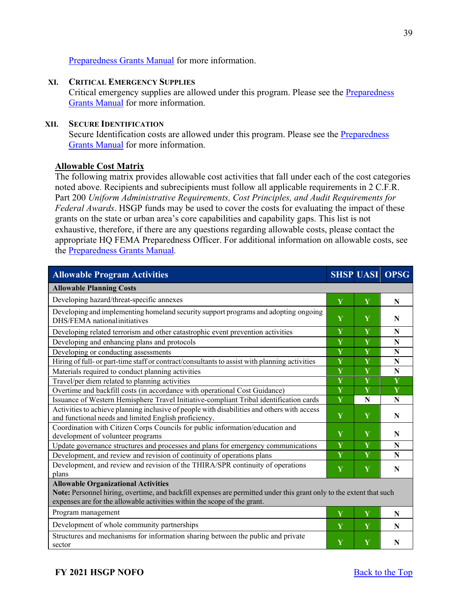# [Preparedness Grants Manual](https://www.fema.gov/media-library/assets/documents/178291) for more information.

## **XI. CRITICAL EMERGENCY SUPPLIES**

Critical emergency supplies are allowed under this program. Please see the Preparedness [Grants Manual](https://www.fema.gov/media-library/assets/documents/178291) for more information.

## **XII. SECURE IDENTIFICATION**

Secure Identification costs are allowed under this program. Please see the **Preparedness** [Grants Manual](https://www.fema.gov/media-library/assets/documents/178291) for more information.

# **Allowable Cost Matrix**

The following matrix provides allowable cost activities that fall under each of the cost categories noted above. Recipients and subrecipients must follow all applicable requirements in 2 C.F.R. Part 200 *Uniform Administrative Requirements, Cost Principles, and Audit Requirements for Federal Awards*. HSGP funds may be used to cover the costs for evaluating the impact of these grants on the state or urban area's core capabilities and capability gaps. This list is not exhaustive, therefore, if there are any questions regarding allowable costs, please contact the appropriate HQ FEMA Preparedness Officer. For additional information on allowable costs, see the [Preparedness Grants Manual](https://www.fema.gov/media-library/assets/documents/178291)*.*

| <b>Allowable Program Activities</b>                                                                                                                                                                                                           |   |   | <b>SHSP UASI OPSG</b> |  |  |
|-----------------------------------------------------------------------------------------------------------------------------------------------------------------------------------------------------------------------------------------------|---|---|-----------------------|--|--|
| <b>Allowable Planning Costs</b>                                                                                                                                                                                                               |   |   |                       |  |  |
| Developing hazard/threat-specific annexes                                                                                                                                                                                                     | Y | Y | N                     |  |  |
| Developing and implementing homeland security support programs and adopting ongoing<br>DHS/FEMA national initiatives                                                                                                                          | Y | Y | N                     |  |  |
| Developing related terrorism and other catastrophic event prevention activities                                                                                                                                                               |   | Y | N                     |  |  |
| Developing and enhancing plans and protocols                                                                                                                                                                                                  | Y | Y | N                     |  |  |
| Developing or conducting assessments                                                                                                                                                                                                          | Y | Y | $\mathbf N$           |  |  |
| Hiring of full- or part-time staff or contract/consultants to assist with planning activities                                                                                                                                                 | Y | Y | N                     |  |  |
| Materials required to conduct planning activities                                                                                                                                                                                             | Y | Y | N                     |  |  |
| Travel/per diem related to planning activities                                                                                                                                                                                                | Y | Y | Y                     |  |  |
| Overtime and backfill costs (in accordance with operational Cost Guidance)                                                                                                                                                                    | Y | Y | Y                     |  |  |
| Issuance of Western Hemisphere Travel Initiative-compliant Tribal identification cards                                                                                                                                                        | Y | N | N                     |  |  |
| Activities to achieve planning inclusive of people with disabilities and others with access<br>and functional needs and limited English proficiency.                                                                                          |   | Y | N                     |  |  |
| Coordination with Citizen Corps Councils for public information/education and<br>development of volunteer programs                                                                                                                            | Y | Y | N                     |  |  |
| Update governance structures and processes and plans for emergency communications                                                                                                                                                             | Y | Y | N                     |  |  |
| Development, and review and revision of continuity of operations plans                                                                                                                                                                        | Y | Y | N                     |  |  |
| Development, and review and revision of the THIRA/SPR continuity of operations<br>plans                                                                                                                                                       | Y | Y | N                     |  |  |
| <b>Allowable Organizational Activities</b><br>Note: Personnel hiring, overtime, and backfill expenses are permitted under this grant only to the extent that such<br>expenses are for the allowable activities within the scope of the grant. |   |   |                       |  |  |
| Program management                                                                                                                                                                                                                            | Y | Y | N                     |  |  |
| Development of whole community partnerships                                                                                                                                                                                                   | Y | Y | N                     |  |  |
| Structures and mechanisms for information sharing between the public and private<br>sector                                                                                                                                                    | Y | Y | N                     |  |  |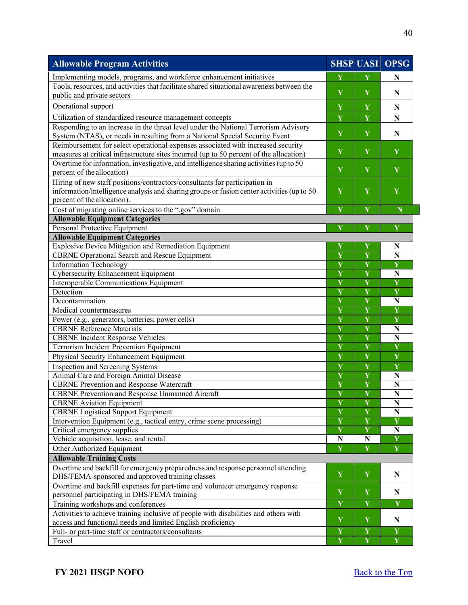| <b>Allowable Program Activities</b>                                                        |                                                    |                         | <b>SHSP UASI OPSG</b>   |
|--------------------------------------------------------------------------------------------|----------------------------------------------------|-------------------------|-------------------------|
| Implementing models, programs, and workforce enhancement initiatives                       | Y                                                  | Y                       | N                       |
| Tools, resources, and activities that facilitate shared situational awareness between the  | Y                                                  |                         |                         |
| public and private sectors                                                                 |                                                    | Y                       | N                       |
| Operational support                                                                        | Y                                                  | $\mathbf Y$             | N                       |
| Utilization of standardized resource management concepts                                   | Y                                                  | Y                       | $\mathbf N$             |
| Responding to an increase in the threat level under the National Terrorism Advisory        |                                                    |                         |                         |
| System (NTAS), or needs in resulting from a National Special Security Event                | Y                                                  | $\mathbf Y$             | N                       |
| Reimbursement for select operational expenses associated with increased security           |                                                    |                         |                         |
| measures at critical infrastructure sites incurred (up to 50 percent of the allocation)    | Y                                                  | Y                       | Y                       |
| Overtime for information, investigative, and intelligence sharing activities (up to 50     |                                                    |                         |                         |
| percent of the allocation)                                                                 | Y                                                  | Y                       | Y                       |
| Hiring of new staff positions/contractors/consultants for participation in                 |                                                    |                         |                         |
| information/intelligence analysis and sharing groups or fusion center activities (up to 50 | Y                                                  | Y                       | Y                       |
| percent of the allocation).                                                                |                                                    |                         |                         |
| Cost of migrating online services to the ".gov" domain                                     | Y                                                  | Y                       | $\mathbf N$             |
| <b>Allowable Equipment Categories</b>                                                      |                                                    |                         |                         |
| Personal Protective Equipment                                                              | Y                                                  | Y                       | Y                       |
| <b>Allowable Equipment Categories</b>                                                      |                                                    |                         |                         |
| <b>Explosive Device Mitigation and Remediation Equipment</b>                               | Y                                                  | Y                       | N                       |
| <b>CBRNE</b> Operational Search and Rescue Equipment                                       | Y                                                  | $\overline{\mathbf{Y}}$ | $\mathbf N$             |
| <b>Information Technology</b>                                                              | Y                                                  | Y                       | Y                       |
| <b>Cybersecurity Enhancement Equipment</b>                                                 | Y                                                  | $\overline{\mathbf{Y}}$ | N                       |
| Interoperable Communications Equipment                                                     | Y                                                  | $\overline{\mathbf{Y}}$ | Y                       |
| Detection                                                                                  | Y                                                  | $\overline{\mathbf{Y}}$ | $\overline{\mathbf{Y}}$ |
| Decontamination                                                                            | Y                                                  | $\overline{\mathbf{Y}}$ | N                       |
| Medical countermeasures                                                                    | Y                                                  | Y                       | Y                       |
| Power (e.g., generators, batteries, power cells)                                           | Y                                                  | Y                       | Y                       |
| <b>CBRNE</b> Reference Materials                                                           | Y                                                  | Y                       | N                       |
| <b>CBRNE</b> Incident Response Vehicles                                                    | Y                                                  | Y                       | N                       |
| Terrorism Incident Prevention Equipment                                                    | Y                                                  | Y                       | Y                       |
| Physical Security Enhancement Equipment                                                    | $\mathbf Y$                                        | Y                       | Y                       |
| Inspection and Screening Systems                                                           | $\mathbf Y$                                        | Y                       | Y                       |
| Animal Care and Foreign Animal Disease                                                     | $\overline{\mathbf{Y}}$                            | $\overline{\mathbf{Y}}$ | N                       |
| <b>CBRNE</b> Prevention and Response Watercraft                                            | $\overline{\mathbf{Y}}$                            | $\overline{\mathbf{Y}}$ | N                       |
| <b>CBRNE</b> Prevention and Response Unmanned Aircraft                                     | $\overline{\mathbf{Y}}$                            | $\overline{\mathbf{Y}}$ | $\overline{\bf N}$      |
| <b>CBRNE</b> Aviation Equipment                                                            | Y                                                  | Y                       | N                       |
| <b>CBRNE</b> Logistical Support Equipment                                                  | $\overline{\mathbf{Y}}$                            | $\overline{\mathbf{Y}}$ | N                       |
| Intervention Equipment (e.g., tactical entry, crime scene processing)                      | $\overline{\mathbf{Y}}$<br>$\overline{\mathbf{Y}}$ | $\overline{\mathbf{Y}}$ | $\overline{\mathbf{Y}}$ |
| Critical emergency supplies                                                                |                                                    | $\overline{\mathbf{Y}}$ | N                       |
| Vehicle acquisition, lease, and rental                                                     | $\mathbf N$                                        | ${\bf N}$               | Y                       |
| Other Authorized Equipment                                                                 | Y                                                  | Y                       | Y                       |
| <b>Allowable Training Costs</b>                                                            |                                                    |                         |                         |
| Overtime and backfill for emergency preparedness and response personnel attending          | Y                                                  | Y                       | N                       |
| DHS/FEMA-sponsored and approved training classes                                           |                                                    |                         |                         |
| Overtime and backfill expenses for part-time and volunteer emergency response              | $\mathbf Y$                                        | Y                       | N                       |
| personnel participating in DHS/FEMA training                                               | Y                                                  | $\overline{\mathbf{Y}}$ | $\overline{\mathbf{Y}}$ |
| Training workshops and conferences                                                         |                                                    |                         |                         |
| Activities to achieve training inclusive of people with disabilities and others with       | Y                                                  | $\mathbf Y$             | N                       |
| access and functional needs and limited English proficiency                                | $\overline{\mathbf{Y}}$                            | $\overline{\mathbf{Y}}$ | Y                       |
| Full- or part-time staff or contractors/consultants                                        | Y                                                  | Y                       | $\mathbf{Y}$            |
| Travel                                                                                     |                                                    |                         |                         |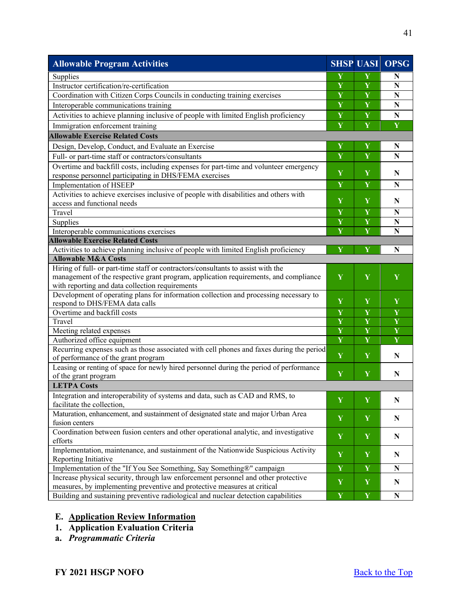| <b>Allowable Program Activities</b>                                                                                                                            |                         | <b>SHSP UASI</b> | <b>OPSG</b>             |
|----------------------------------------------------------------------------------------------------------------------------------------------------------------|-------------------------|------------------|-------------------------|
| Supplies                                                                                                                                                       |                         | Y                | N                       |
| Instructor certification/re-certification                                                                                                                      |                         | Y                | N                       |
| Coordination with Citizen Corps Councils in conducting training exercises                                                                                      |                         | Y                | N                       |
| Interoperable communications training                                                                                                                          |                         | Y                | N                       |
| Activities to achieve planning inclusive of people with limited English proficiency                                                                            | Y                       | Y                | N                       |
| Immigration enforcement training                                                                                                                               | $\overline{\mathbf{Y}}$ | Y                | Y                       |
| <b>Allowable Exercise Related Costs</b>                                                                                                                        |                         |                  |                         |
| Design, Develop, Conduct, and Evaluate an Exercise                                                                                                             | Y                       | Y                | N                       |
| Full- or part-time staff or contractors/consultants                                                                                                            | Y                       | Y                | N                       |
| Overtime and backfill costs, including expenses for part-time and volunteer emergency                                                                          |                         |                  |                         |
| response personnel participating in DHS/FEMA exercises                                                                                                         | Y                       | Y                | N                       |
| Implementation of HSEEP                                                                                                                                        | Y                       | Y                | N                       |
| Activities to achieve exercises inclusive of people with disabilities and others with                                                                          | Y                       | Y                |                         |
| access and functional needs                                                                                                                                    |                         |                  | N                       |
| Travel                                                                                                                                                         | Y                       | Y                | N                       |
| Supplies                                                                                                                                                       | Y                       | Y                | $\mathbf N$             |
| Interoperable communications exercises                                                                                                                         | Y                       | Y                | $\mathbf N$             |
| <b>Allowable Exercise Related Costs</b>                                                                                                                        |                         |                  |                         |
| Activities to achieve planning inclusive of people with limited English proficiency<br><b>Allowable M&amp;A Costs</b>                                          | $\overline{\mathbf{Y}}$ | Y                | N                       |
| Hiring of full- or part-time staff or contractors/consultants to assist with the                                                                               |                         |                  |                         |
| management of the respective grant program, application requirements, and compliance                                                                           | Y                       | Y                | Y                       |
| with reporting and data collection requirements                                                                                                                |                         |                  |                         |
| Development of operating plans for information collection and processing necessary to                                                                          |                         |                  |                         |
| respond to DHS/FEMA data calls                                                                                                                                 | Y                       | Y                | Y                       |
| Overtime and backfill costs                                                                                                                                    | Y                       | Y                | Y                       |
| Travel                                                                                                                                                         | Y                       | Y                | $\overline{\mathbf{Y}}$ |
| Meeting related expenses                                                                                                                                       | Y                       | Y                | Y                       |
| Authorized office equipment                                                                                                                                    | Y                       | Y                | Y                       |
| Recurring expenses such as those associated with cell phones and faxes during the period                                                                       |                         |                  |                         |
| of performance of the grant program                                                                                                                            | Y                       | Y                | N                       |
| Leasing or renting of space for newly hired personnel during the period of performance                                                                         | Y                       | Y                | N                       |
| of the grant program<br><b>LETPA Costs</b>                                                                                                                     |                         |                  |                         |
|                                                                                                                                                                |                         |                  |                         |
| Integration and interoperability of systems and data, such as CAD and RMS, to<br>facilitate the collection,                                                    | Y                       | Y                | N                       |
| Maturation, enhancement, and sustainment of designated state and major Urban Area                                                                              |                         |                  |                         |
| fusion centers                                                                                                                                                 | Y                       | Y                | N                       |
| Coordination between fusion centers and other operational analytic, and investigative                                                                          | $\mathbf Y$             | Y                |                         |
| efforts                                                                                                                                                        |                         |                  | N                       |
| Implementation, maintenance, and sustainment of the Nationwide Suspicious Activity                                                                             | $\mathbf Y$             | Y                | ${\bf N}$               |
| Reporting Initiative                                                                                                                                           |                         |                  |                         |
| Implementation of the "If You See Something, Say Something®" campaign                                                                                          |                         | $\mathbf Y$      | N                       |
| Increase physical security, through law enforcement personnel and other protective<br>measures, by implementing preventive and protective measures at critical |                         | $\mathbf Y$      | ${\bf N}$               |
| Building and sustaining preventive radiological and nuclear detection capabilities                                                                             |                         | $\mathbf Y$      | N                       |
|                                                                                                                                                                | $\mathbf Y$             |                  |                         |

# <span id="page-40-0"></span>**E. Application Review Information**

- <span id="page-40-1"></span>**1. Application Evaluation Criteria**
- **a.** *Programmatic Criteria*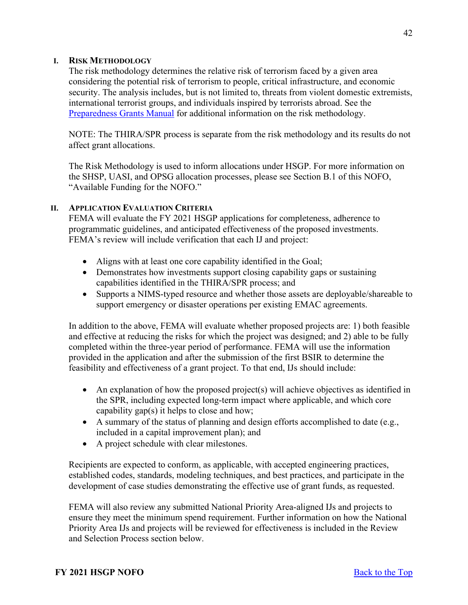## **I. RISK METHODOLOGY**

The risk methodology determines the relative risk of terrorism faced by a given area considering the potential risk of terrorism to people, critical infrastructure, and economic security. The analysis includes, but is not limited to, threats from violent domestic extremists, international terrorist groups, and individuals inspired by terrorists abroad. See the [Preparedness Grants Manual](https://www.fema.gov/media-library/assets/documents/178291) for additional information on the risk methodology.

NOTE: The THIRA/SPR process is separate from the risk methodology and its results do not affect grant allocations.

The Risk Methodology is used to inform allocations under HSGP. For more information on the SHSP, UASI, and OPSG allocation processes, please see Section B.1 of this NOFO, "Available Funding for the NOFO."

## **II. APPLICATION EVALUATION CRITERIA**

FEMA will evaluate the FY 2021 HSGP applications for completeness, adherence to programmatic guidelines, and anticipated effectiveness of the proposed investments. FEMA's review will include verification that each IJ and project:

- Aligns with at least one core capability identified in the Goal;
- Demonstrates how investments support closing capability gaps or sustaining capabilities identified in the THIRA/SPR process; and
- Supports a NIMS-typed resource and whether those assets are deployable/shareable to support emergency or disaster operations per existing EMAC agreements.

In addition to the above, FEMA will evaluate whether proposed projects are: 1) both feasible and effective at reducing the risks for which the project was designed; and 2) able to be fully completed within the three-year period of performance. FEMA will use the information provided in the application and after the submission of the first BSIR to determine the feasibility and effectiveness of a grant project. To that end, IJs should include:

- An explanation of how the proposed project(s) will achieve objectives as identified in the SPR, including expected long-term impact where applicable, and which core capability gap(s) it helps to close and how;
- A summary of the status of planning and design efforts accomplished to date (e.g., included in a capital improvement plan); and
- A project schedule with clear milestones.

Recipients are expected to conform, as applicable, with accepted engineering practices, established codes, standards, modeling techniques, and best practices, and participate in the development of case studies demonstrating the effective use of grant funds, as requested.

FEMA will also review any submitted National Priority Area-aligned IJs and projects to ensure they meet the minimum spend requirement. Further information on how the National Priority Area IJs and projects will be reviewed for effectiveness is included in the Review and Selection Process section below.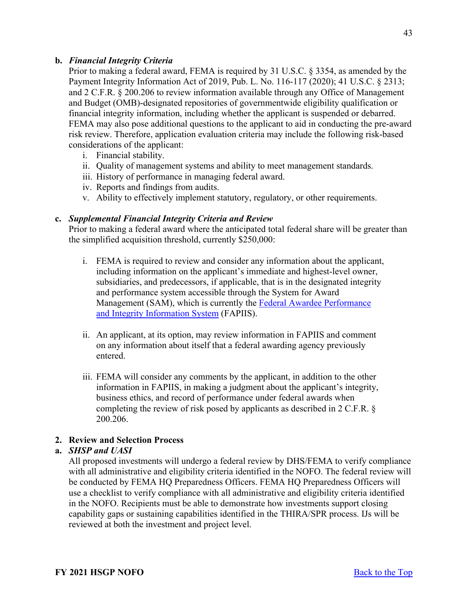# **b.** *Financial Integrity Criteria*

Prior to making a federal award, FEMA is required by 31 U.S.C. § 3354, as amended by the Payment Integrity Information Act of 2019, Pub. L. No. 116-117 (2020); 41 U.S.C. § 2313; and 2 C.F.R. § 200.206 to review information available through any Office of Management and Budget (OMB)-designated repositories of governmentwide eligibility qualification or financial integrity information, including whether the applicant is suspended or debarred. FEMA may also pose additional questions to the applicant to aid in conducting the pre-award risk review. Therefore, application evaluation criteria may include the following risk-based considerations of the applicant:

- i. Financial stability.
- ii. Quality of management systems and ability to meet management standards.
- iii. History of performance in managing federal award.
- iv. Reports and findings from audits.
- v. Ability to effectively implement statutory, regulatory, or other requirements.

# **c.** *Supplemental Financial Integrity Criteria and Review*

Prior to making a federal award where the anticipated total federal share will be greater than the simplified acquisition threshold, currently \$250,000:

- i. FEMA is required to review and consider any information about the applicant, including information on the applicant's immediate and highest-level owner, subsidiaries, and predecessors, if applicable, that is in the designated integrity and performance system accessible through the System for Award Management (SAM), which is currently the [Federal Awardee Performance](https://www.fapiis.gov/fapiis/index.action)  [and Integrity Information System](https://www.fapiis.gov/fapiis/index.action) (FAPIIS).
- ii. An applicant, at its option, may review information in FAPIIS and comment on any information about itself that a federal awarding agency previously entered.
- iii. FEMA will consider any comments by the applicant, in addition to the other information in FAPIIS, in making a judgment about the applicant's integrity, business ethics, and record of performance under federal awards when completing the review of risk posed by applicants as described in 2 C.F.R. § 200.206.

# <span id="page-42-0"></span>**2. Review and Selection Process**

# **a.** *SHSP and UASI*

All proposed investments will undergo a federal review by DHS/FEMA to verify compliance with all administrative and eligibility criteria identified in the NOFO. The federal review will be conducted by FEMA HQ Preparedness Officers. FEMA HQ Preparedness Officers will use a checklist to verify compliance with all administrative and eligibility criteria identified in the NOFO. Recipients must be able to demonstrate how investments support closing capability gaps or sustaining capabilities identified in the THIRA/SPR process. IJs will be reviewed at both the investment and project level.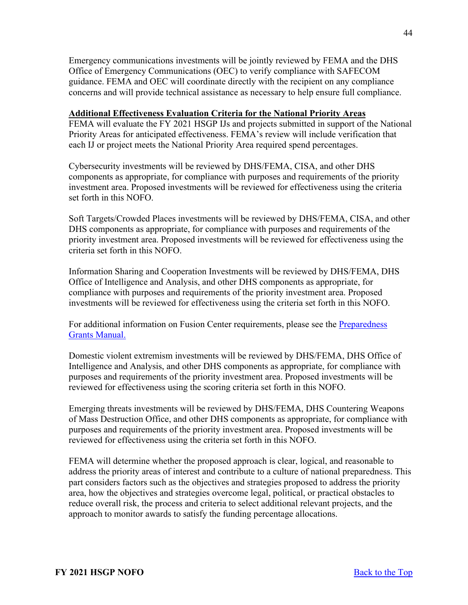Emergency communications investments will be jointly reviewed by FEMA and the DHS Office of Emergency Communications (OEC) to verify compliance with SAFECOM guidance. FEMA and OEC will coordinate directly with the recipient on any compliance concerns and will provide technical assistance as necessary to help ensure full compliance.

# **Additional Effectiveness Evaluation Criteria for the National Priority Areas**

FEMA will evaluate the FY 2021 HSGP IJs and projects submitted in support of the National Priority Areas for anticipated effectiveness. FEMA's review will include verification that each IJ or project meets the National Priority Area required spend percentages.

Cybersecurity investments will be reviewed by DHS/FEMA, CISA, and other DHS components as appropriate, for compliance with purposes and requirements of the priority investment area. Proposed investments will be reviewed for effectiveness using the criteria set forth in this NOFO.

Soft Targets/Crowded Places investments will be reviewed by DHS/FEMA, CISA, and other DHS components as appropriate, for compliance with purposes and requirements of the priority investment area. Proposed investments will be reviewed for effectiveness using the criteria set forth in this NOFO.

Information Sharing and Cooperation Investments will be reviewed by DHS/FEMA, DHS Office of Intelligence and Analysis, and other DHS components as appropriate, for compliance with purposes and requirements of the priority investment area. Proposed investments will be reviewed for effectiveness using the criteria set forth in this NOFO.

For additional information on Fusion Center requirements, please see the [Preparedness](https://www.fema.gov/media-library/assets/documents/178291)  [Grants Manual.](https://www.fema.gov/media-library/assets/documents/178291)

Domestic violent extremism investments will be reviewed by DHS/FEMA, DHS Office of Intelligence and Analysis, and other DHS components as appropriate, for compliance with purposes and requirements of the priority investment area. Proposed investments will be reviewed for effectiveness using the scoring criteria set forth in this NOFO.

Emerging threats investments will be reviewed by DHS/FEMA, DHS Countering Weapons of Mass Destruction Office, and other DHS components as appropriate, for compliance with purposes and requirements of the priority investment area. Proposed investments will be reviewed for effectiveness using the criteria set forth in this NOFO.

FEMA will determine whether the proposed approach is clear, logical, and reasonable to address the priority areas of interest and contribute to a culture of national preparedness. This part considers factors such as the objectives and strategies proposed to address the priority area, how the objectives and strategies overcome legal, political, or practical obstacles to reduce overall risk, the process and criteria to select additional relevant projects, and the approach to monitor awards to satisfy the funding percentage allocations.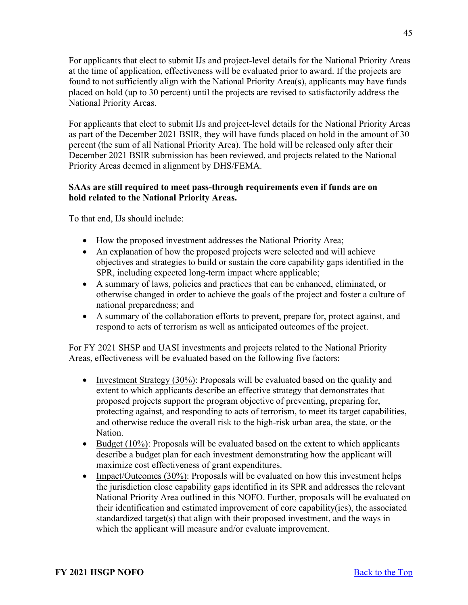For applicants that elect to submit IJs and project-level details for the National Priority Areas at the time of application, effectiveness will be evaluated prior to award. If the projects are found to not sufficiently align with the National Priority Area(s), applicants may have funds placed on hold (up to 30 percent) until the projects are revised to satisfactorily address the National Priority Areas.

For applicants that elect to submit IJs and project-level details for the National Priority Areas as part of the December 2021 BSIR, they will have funds placed on hold in the amount of 30 percent (the sum of all National Priority Area). The hold will be released only after their December 2021 BSIR submission has been reviewed, and projects related to the National Priority Areas deemed in alignment by DHS/FEMA.

# **SAAs are still required to meet pass-through requirements even if funds are on hold related to the National Priority Areas.**

To that end, IJs should include:

- How the proposed investment addresses the National Priority Area;
- An explanation of how the proposed projects were selected and will achieve objectives and strategies to build or sustain the core capability gaps identified in the SPR, including expected long-term impact where applicable;
- A summary of laws, policies and practices that can be enhanced, eliminated, or otherwise changed in order to achieve the goals of the project and foster a culture of national preparedness; and
- A summary of the collaboration efforts to prevent, prepare for, protect against, and respond to acts of terrorism as well as anticipated outcomes of the project.

For FY 2021 SHSP and UASI investments and projects related to the National Priority Areas, effectiveness will be evaluated based on the following five factors:

- Investment Strategy (30%): Proposals will be evaluated based on the quality and extent to which applicants describe an effective strategy that demonstrates that proposed projects support the program objective of preventing, preparing for, protecting against, and responding to acts of terrorism, to meet its target capabilities, and otherwise reduce the overall risk to the high-risk urban area, the state, or the Nation.
- Budget (10%): Proposals will be evaluated based on the extent to which applicants describe a budget plan for each investment demonstrating how the applicant will maximize cost effectiveness of grant expenditures.
- Impact/Outcomes (30%): Proposals will be evaluated on how this investment helps the jurisdiction close capability gaps identified in its SPR and addresses the relevant National Priority Area outlined in this NOFO. Further, proposals will be evaluated on their identification and estimated improvement of core capability(ies), the associated standardized target(s) that align with their proposed investment, and the ways in which the applicant will measure and/or evaluate improvement.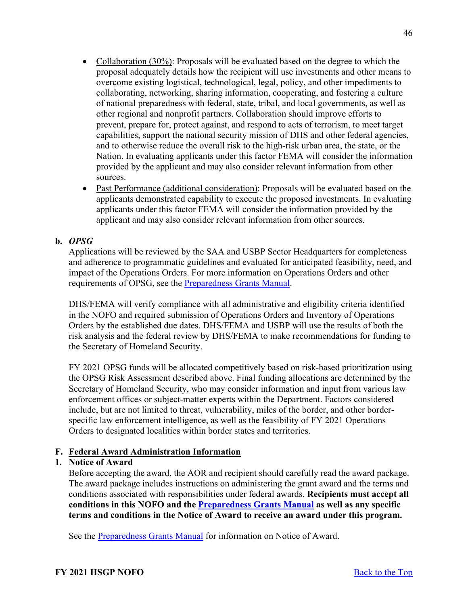- Collaboration (30%): Proposals will be evaluated based on the degree to which the proposal adequately details how the recipient will use investments and other means to overcome existing logistical, technological, legal, policy, and other impediments to collaborating, networking, sharing information, cooperating, and fostering a culture of national preparedness with federal, state, tribal, and local governments, as well as other regional and nonprofit partners. Collaboration should improve efforts to prevent, prepare for, protect against, and respond to acts of terrorism, to meet target capabilities, support the national security mission of DHS and other federal agencies, and to otherwise reduce the overall risk to the high-risk urban area, the state, or the Nation. In evaluating applicants under this factor FEMA will consider the information provided by the applicant and may also consider relevant information from other sources.
- Past Performance (additional consideration): Proposals will be evaluated based on the applicants demonstrated capability to execute the proposed investments. In evaluating applicants under this factor FEMA will consider the information provided by the applicant and may also consider relevant information from other sources.

# **b.** *OPSG*

Applications will be reviewed by the SAA and USBP Sector Headquarters for completeness and adherence to programmatic guidelines and evaluated for anticipated feasibility, need, and impact of the Operations Orders. For more information on Operations Orders and other requirements of OPSG, see the [Preparedness Grants Manual.](https://www.fema.gov/media-library/assets/documents/178291)

DHS/FEMA will verify compliance with all administrative and eligibility criteria identified in the NOFO and required submission of Operations Orders and Inventory of Operations Orders by the established due dates. DHS/FEMA and USBP will use the results of both the risk analysis and the federal review by DHS/FEMA to make recommendations for funding to the Secretary of Homeland Security.

FY 2021 OPSG funds will be allocated competitively based on risk-based prioritization using the OPSG Risk Assessment described above. Final funding allocations are determined by the Secretary of Homeland Security, who may consider information and input from various law enforcement offices or subject-matter experts within the Department. Factors considered include, but are not limited to threat, vulnerability, miles of the border, and other borderspecific law enforcement intelligence, as well as the feasibility of FY 2021 Operations Orders to designated localities within border states and territories.

# <span id="page-45-0"></span>**F. Federal Award Administration Information**

# <span id="page-45-1"></span>**1. Notice of Award**

Before accepting the award, the AOR and recipient should carefully read the award package. The award package includes instructions on administering the grant award and the terms and conditions associated with responsibilities under federal awards. **Recipients must accept all conditions in this NOFO and the [Preparedness Grants Manual](https://www.fema.gov/media-library/assets/documents/178291) as well as any specific terms and conditions in the Notice of Award to receive an award under this program.**

See the [Preparedness Grants Manual](https://www.fema.gov/media-library/assets/documents/178291) for information on Notice of Award.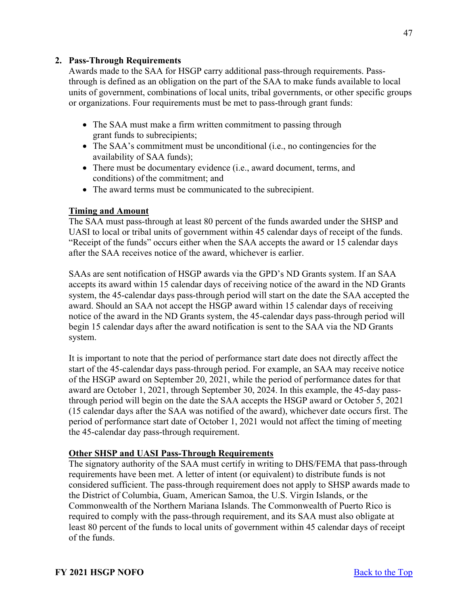# <span id="page-46-0"></span>**2. Pass-Through Requirements**

Awards made to the SAA for HSGP carry additional pass-through requirements. Passthrough is defined as an obligation on the part of the SAA to make funds available to local units of government, combinations of local units, tribal governments, or other specific groups or organizations. Four requirements must be met to pass-through grant funds:

- The SAA must make a firm written commitment to passing through grant funds to subrecipients;
- The SAA's commitment must be unconditional (i.e., no contingencies for the availability of SAA funds);
- There must be documentary evidence (i.e., award document, terms, and conditions) of the commitment; and
- The award terms must be communicated to the subrecipient.

# **Timing and Amount**

The SAA must pass-through at least 80 percent of the funds awarded under the SHSP and UASI to local or tribal units of government within 45 calendar days of receipt of the funds. "Receipt of the funds" occurs either when the SAA accepts the award or 15 calendar days after the SAA receives notice of the award, whichever is earlier.

SAAs are sent notification of HSGP awards via the GPD's ND Grants system. If an SAA accepts its award within 15 calendar days of receiving notice of the award in the ND Grants system, the 45-calendar days pass-through period will start on the date the SAA accepted the award. Should an SAA not accept the HSGP award within 15 calendar days of receiving notice of the award in the ND Grants system, the 45-calendar days pass-through period will begin 15 calendar days after the award notification is sent to the SAA via the ND Grants system.

It is important to note that the period of performance start date does not directly affect the start of the 45-calendar days pass-through period. For example, an SAA may receive notice of the HSGP award on September 20, 2021, while the period of performance dates for that award are October 1, 2021, through September 30, 2024. In this example, the 45-day passthrough period will begin on the date the SAA accepts the HSGP award or October 5, 2021 (15 calendar days after the SAA was notified of the award), whichever date occurs first. The period of performance start date of October 1, 2021 would not affect the timing of meeting the 45-calendar day pass-through requirement.

# **Other SHSP and UASI Pass-Through Requirements**

The signatory authority of the SAA must certify in writing to DHS/FEMA that pass-through requirements have been met. A letter of intent (or equivalent) to distribute funds is not considered sufficient. The pass-through requirement does not apply to SHSP awards made to the District of Columbia, Guam, American Samoa, the U.S. Virgin Islands, or the Commonwealth of the Northern Mariana Islands. The Commonwealth of Puerto Rico is required to comply with the pass-through requirement, and its SAA must also obligate at least 80 percent of the funds to local units of government within 45 calendar days of receipt of the funds.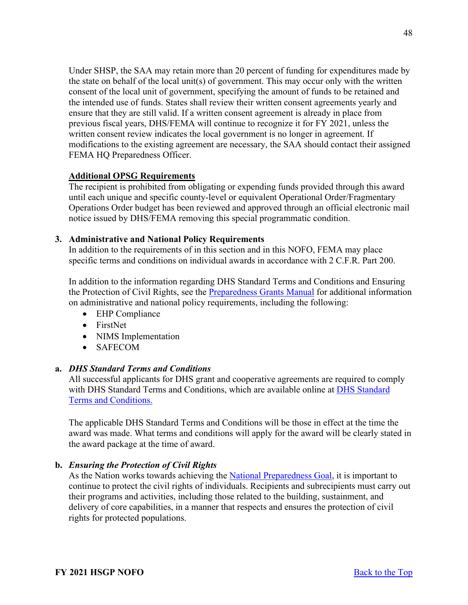Under SHSP, the SAA may retain more than 20 percent of funding for expenditures made by the state on behalf of the local unit(s) of government. This may occur only with the written consent of the local unit of government, specifying the amount of funds to be retained and the intended use of funds. States shall review their written consent agreements yearly and ensure that they are still valid. If a written consent agreement is already in place from previous fiscal years, DHS/FEMA will continue to recognize it for FY 2021, unless the written consent review indicates the local government is no longer in agreement. If modifications to the existing agreement are necessary, the SAA should contact their assigned FEMA HQ Preparedness Officer.

# **Additional OPSG Requirements**

The recipient is prohibited from obligating or expending funds provided through this award until each unique and specific county-level or equivalent Operational Order/Fragmentary Operations Order budget has been reviewed and approved through an official electronic mail notice issued by DHS/FEMA removing this special programmatic condition.

# <span id="page-47-0"></span>**3. Administrative and National Policy Requirements**

In addition to the requirements of in this section and in this NOFO, FEMA may place specific terms and conditions on individual awards in accordance with 2 C.F.R. Part 200.

In addition to the information regarding DHS Standard Terms and Conditions and Ensuring the Protection of Civil Rights, see the [Preparedness Grants Manual](https://www.fema.gov/media-library/assets/documents/178291) for additional information on administrative and national policy requirements, including the following:

- EHP Compliance
- FirstNet
- NIMS Implementation
- SAFECOM

# **a.** *DHS Standard Terms and Conditions*

All successful applicants for DHS grant and cooperative agreements are required to comply with DHS Standard Terms and Conditions, which are available online at [DHS Standard](http://www.dhs.gov/publication/fy15-dhs-standard-terms-and-conditions)  [Terms and Conditions.](http://www.dhs.gov/publication/fy15-dhs-standard-terms-and-conditions)

The applicable DHS Standard Terms and Conditions will be those in effect at the time the award was made. What terms and conditions will apply for the award will be clearly stated in the award package at the time of award.

# **b.** *Ensuring the Protection of Civil Rights*

As the Nation works towards achieving the [National Preparedness Goal,](https://www.fema.gov/national-preparedness-goal) it is important to continue to protect the civil rights of individuals. Recipients and subrecipients must carry out their programs and activities, including those related to the building, sustainment, and delivery of core capabilities, in a manner that respects and ensures the protection of civil rights for protected populations.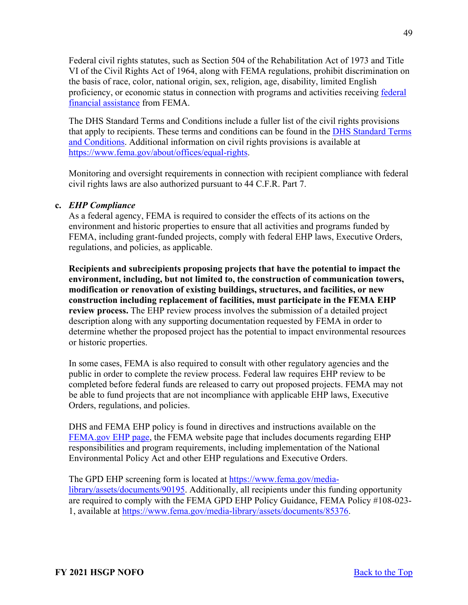Federal civil rights statutes, such as Section 504 of the Rehabilitation Act of 1973 and Title VI of the Civil Rights Act of 1964, along with FEMA regulations, prohibit discrimination on the basis of race, color, national origin, sex, religion, age, disability, limited English proficiency, or economic status in connection with programs and activities receiving [federal](https://www.ecfr.gov/cgi-bin/text-idx?SID=5e41f4d1a74f253d602c5a7fdc4fc2d8&mc=true&node=se44.1.7_1913&rgn=div8)  [financial assistance](https://www.ecfr.gov/cgi-bin/text-idx?SID=5e41f4d1a74f253d602c5a7fdc4fc2d8&mc=true&node=se44.1.7_1913&rgn=div8) from FEMA.

The DHS Standard Terms and Conditions include a fuller list of the civil rights provisions that apply to recipients. These terms and conditions can be found in the [DHS Standard Terms](https://www.dhs.gov/publication/fy15-dhs-standard-terms-and-conditions)  [and Conditions.](https://www.dhs.gov/publication/fy15-dhs-standard-terms-and-conditions) Additional information on civil rights provisions is available at [https://www.fema.gov/about/offices/equal-rights.](https://www.fema.gov/about/offices/equal-rights)

Monitoring and oversight requirements in connection with recipient compliance with federal civil rights laws are also authorized pursuant to 44 C.F.R. Part 7.

# **c.** *EHP Compliance*

As a federal agency, FEMA is required to consider the effects of its actions on the environment and historic properties to ensure that all activities and programs funded by FEMA, including grant-funded projects, comply with federal EHP laws, Executive Orders, regulations, and policies, as applicable.

**Recipients and subrecipients proposing projects that have the potential to impact the environment, including, but not limited to, the construction of communication towers, modification or renovation of existing buildings, structures, and facilities, or new construction including replacement of facilities, must participate in the FEMA EHP review process.** The EHP review process involves the submission of a detailed project description along with any supporting documentation requested by FEMA in order to determine whether the proposed project has the potential to impact environmental resources or historic properties.

In some cases, FEMA is also required to consult with other regulatory agencies and the public in order to complete the review process. Federal law requires EHP review to be completed before federal funds are released to carry out proposed projects. FEMA may not be able to fund projects that are not incompliance with applicable EHP laws, Executive Orders, regulations, and policies.

DHS and FEMA EHP policy is found in directives and instructions available on the [FEMA.gov EHP page,](https://www.fema.gov/emergency-managers/practitioners/environmental-historic/laws) the FEMA website page that includes documents regarding EHP responsibilities and program requirements, including implementation of the National Environmental Policy Act and other EHP regulations and Executive Orders.

The GPD EHP screening form is located at [https://www.fema.gov/media](https://www.fema.gov/media-library/assets/documents/90195)[library/assets/documents/90195.](https://www.fema.gov/media-library/assets/documents/90195) Additionally, all recipients under this funding opportunity are required to comply with the FEMA GPD EHP Policy Guidance, FEMA Policy #108-023- 1, available at [https://www.fema.gov/media-library/assets/documents/85376.](https://www.fema.gov/media-library/assets/documents/85376)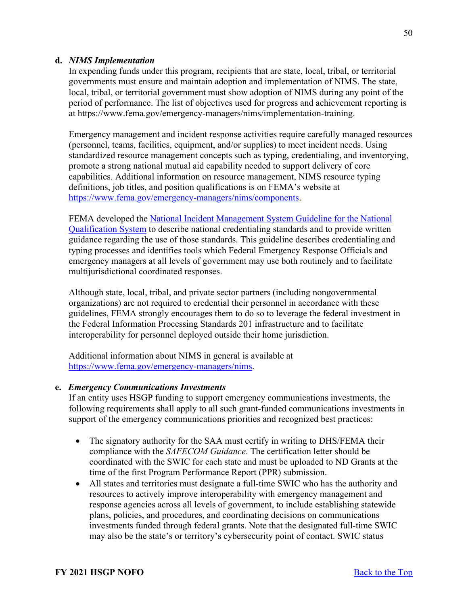## **d.** *NIMS Implementation*

In expending funds under this program, recipients that are state, local, tribal, or territorial governments must ensure and maintain adoption and implementation of NIMS. The state, local, tribal, or territorial government must show adoption of NIMS during any point of the period of performance. The list of objectives used for progress and achievement reporting is at https://www.fema.gov/emergency-managers/nims/implementation-training.

Emergency management and incident response activities require carefully managed resources (personnel, teams, facilities, equipment, and/or supplies) to meet incident needs. Using standardized resource management concepts such as typing, credentialing, and inventorying, promote a strong national mutual aid capability needed to support delivery of core capabilities. Additional information on resource management, NIMS resource typing definitions, job titles, and position qualifications is on FEMA's website at [https://www.fema.gov/emergency-managers/nims/components.](https://www.fema.gov/emergency-managers/nims/components)

FEMA developed the [National Incident Management System Guideline for the National](https://www.fema.gov/sites/default/files/2020-05/fema_nims_nqs_guideline_0.pdf)  [Qualification System](https://www.fema.gov/sites/default/files/2020-05/fema_nims_nqs_guideline_0.pdf) to describe national credentialing standards and to provide written guidance regarding the use of those standards. This guideline describes credentialing and typing processes and identifies tools which Federal Emergency Response Officials and emergency managers at all levels of government may use both routinely and to facilitate multijurisdictional coordinated responses.

Although state, local, tribal, and private sector partners (including nongovernmental organizations) are not required to credential their personnel in accordance with these guidelines, FEMA strongly encourages them to do so to leverage the federal investment in the Federal Information Processing Standards 201 infrastructure and to facilitate interoperability for personnel deployed outside their home jurisdiction.

Additional information about NIMS in general is available at [https://www.fema.gov/emergency-managers/nims.](https://www.fema.gov/emergency-managers/nims)

## **e.** *Emergency Communications Investments*

If an entity uses HSGP funding to support emergency communications investments, the following requirements shall apply to all such grant-funded communications investments in support of the emergency communications priorities and recognized best practices:

- The signatory authority for the SAA must certify in writing to DHS/FEMA their compliance with the *SAFECOM Guidance*. The certification letter should be coordinated with the SWIC for each state and must be uploaded to ND Grants at the time of the first Program Performance Report (PPR) submission.
- All states and territories must designate a full-time SWIC who has the authority and resources to actively improve interoperability with emergency management and response agencies across all levels of government, to include establishing statewide plans, policies, and procedures, and coordinating decisions on communications investments funded through federal grants. Note that the designated full-time SWIC may also be the state's or territory's cybersecurity point of contact. SWIC status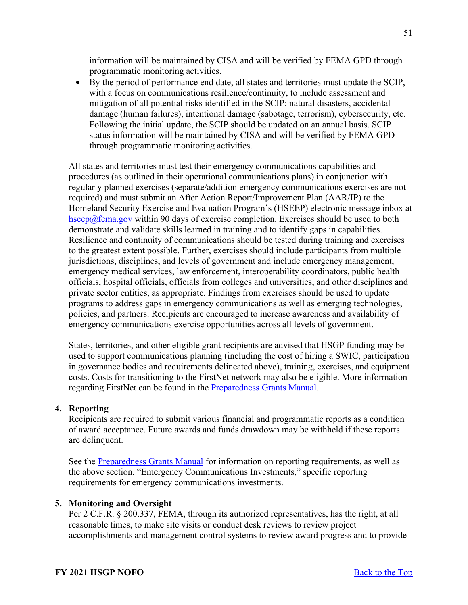information will be maintained by CISA and will be verified by FEMA GPD through programmatic monitoring activities.

• By the period of performance end date, all states and territories must update the SCIP, with a focus on communications resilience/continuity, to include assessment and mitigation of all potential risks identified in the SCIP: natural disasters, accidental damage (human failures), intentional damage (sabotage, terrorism), cybersecurity, etc. Following the initial update, the SCIP should be updated on an annual basis. SCIP status information will be maintained by CISA and will be verified by FEMA GPD through programmatic monitoring activities.

All states and territories must test their emergency communications capabilities and procedures (as outlined in their operational communications plans) in conjunction with regularly planned exercises (separate/addition emergency communications exercises are not required) and must submit an After Action Report/Improvement Plan (AAR/IP) to the Homeland Security Exercise and Evaluation Program's (HSEEP) electronic message inbox at [hseep@fema.gov](mailto:hseep@fema.gov) within 90 days of exercise completion. Exercises should be used to both demonstrate and validate skills learned in training and to identify gaps in capabilities. Resilience and continuity of communications should be tested during training and exercises to the greatest extent possible. Further, exercises should include participants from multiple jurisdictions, disciplines, and levels of government and include emergency management, emergency medical services, law enforcement, interoperability coordinators, public health officials, hospital officials, officials from colleges and universities, and other disciplines and private sector entities, as appropriate. Findings from exercises should be used to update programs to address gaps in emergency communications as well as emerging technologies, policies, and partners. Recipients are encouraged to increase awareness and availability of emergency communications exercise opportunities across all levels of government.

States, territories, and other eligible grant recipients are advised that HSGP funding may be used to support communications planning (including the cost of hiring a SWIC, participation in governance bodies and requirements delineated above), training, exercises, and equipment costs. Costs for transitioning to the FirstNet network may also be eligible. More information regarding FirstNet can be found in the [Preparedness Grants Manual.](https://www.fema.gov/media-library/assets/documents/178291)

# <span id="page-50-0"></span>**4. Reporting**

Recipients are required to submit various financial and programmatic reports as a condition of award acceptance. Future awards and funds drawdown may be withheld if these reports are delinquent.

See the [Preparedness Grants Manual](https://www.fema.gov/media-library/assets/documents/178291) for information on reporting requirements, as well as the above section, "Emergency Communications Investments," specific reporting requirements for emergency communications investments.

#### <span id="page-50-1"></span>**5. Monitoring and Oversight**

Per 2 C.F.R. § 200.337, FEMA, through its authorized representatives, has the right, at all reasonable times, to make site visits or conduct desk reviews to review project accomplishments and management control systems to review award progress and to provide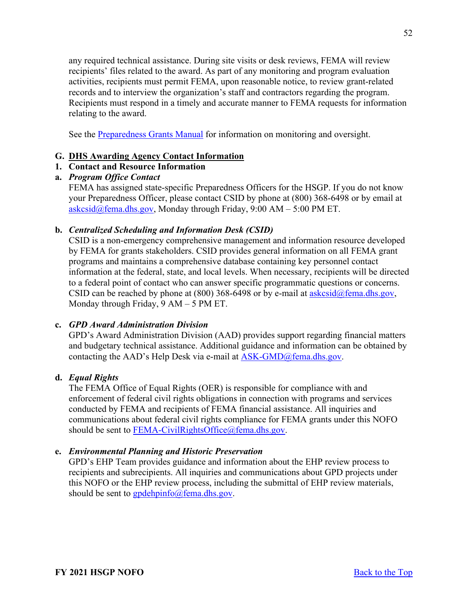any required technical assistance. During site visits or desk reviews, FEMA will review recipients' files related to the award. As part of any monitoring and program evaluation activities, recipients must permit FEMA, upon reasonable notice, to review grant-related records and to interview the organization's staff and contractors regarding the program. Recipients must respond in a timely and accurate manner to FEMA requests for information relating to the award.

See the [Preparedness Grants Manual](https://www.fema.gov/media-library/assets/documents/178291) for information on monitoring and oversight.

# <span id="page-51-0"></span>**G. DHS Awarding Agency Contact Information**

# <span id="page-51-1"></span>**1. Contact and Resource Information**

# **a.** *Program Office Contact*

FEMA has assigned state-specific Preparedness Officers for the HSGP. If you do not know your Preparedness Officer, please contact CSID by phone at (800) 368-6498 or by email at [askcsid@fema.dhs.gov,](mailto:askcsid@fema.dhs.gov) Monday through Friday,  $9:00$  AM –  $5:00$  PM ET.

# **b.** *Centralized Scheduling and Information Desk (CSID)*

CSID is a non-emergency comprehensive management and information resource developed by FEMA for grants stakeholders. CSID provides general information on all FEMA grant programs and maintains a comprehensive database containing key personnel contact information at the federal, state, and local levels. When necessary, recipients will be directed to a federal point of contact who can answer specific programmatic questions or concerns. CSID can be reached by phone at  $(800)$  368-6498 or by e-mail at  $\frac{askcsid(\omega)$  fema.dhs.gov, Monday through Friday, 9 AM – 5 PM ET.

# **c.** *GPD Award Administration Division*

GPD's Award Administration Division (AAD) provides support regarding financial matters and budgetary technical assistance. Additional guidance and information can be obtained by contacting the AAD's Help Desk via e-mail at  $ASK\text{-GMD}(\widehat{a})$  fema.dhs.gov.

# **d.** *Equal Rights*

The FEMA Office of Equal Rights (OER) is responsible for compliance with and enforcement of federal civil rights obligations in connection with programs and services conducted by FEMA and recipients of FEMA financial assistance. All inquiries and communications about federal civil rights compliance for FEMA grants under this NOFO should be sent to [FEMA-CivilRightsOffice@fema.dhs.gov.](mailto:FEMA-CivilRightsOffice@fema.dhs.gov)

# **e.** *Environmental Planning and Historic Preservation*

<span id="page-51-2"></span>GPD's EHP Team provides guidance and information about the EHP review process to recipients and subrecipients. All inquiries and communications about GPD projects under this NOFO or the EHP review process, including the submittal of EHP review materials, should be sent to  $\frac{\text{gpdehpinfo}}{\text{gpmfo}}$  fema.dhs.gov.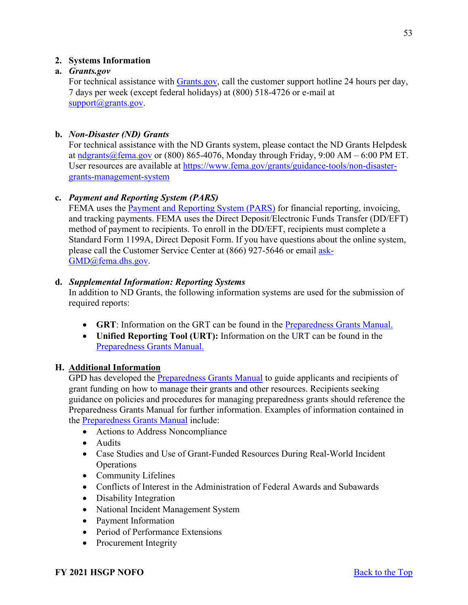# **2. Systems Information**

# **a.** *Grants.gov*

For technical assistance with [Grants.gov,](https://www.grants.gov/forms/sf-424-family.html) call the customer support hotline 24 hours per day, 7 days per week (except federal holidays) at (800) 518-4726 or e-mail at [support@grants.gov.](mailto:support@grants.gov)

# **b.** *Non-Disaster (ND) Grants*

For technical assistance with the ND Grants system, please contact the ND Grants Helpdesk at  $\frac{1}{n \cdot \frac{1}{2}}$  at  $\frac{n \cdot \alpha}{n \cdot \alpha}$  fema.gov or (800) 865-4076, Monday through Friday, 9:00 AM – 6:00 PM ET. User resources are available at [https://www.fema.gov/grants/guidance-tools/non-disaster](https://www.fema.gov/grants/guidance-tools/non-disaster-grants-management-system)[grants-management-system](https://www.fema.gov/grants/guidance-tools/non-disaster-grants-management-system)

# **c.** *Payment and Reporting System (PARS)*

FEMA uses the **Payment and Reporting System (PARS)** for financial reporting, invoicing, and tracking payments. FEMA uses the Direct Deposit/Electronic Funds Transfer (DD/EFT) method of payment to recipients. To enroll in the DD/EFT, recipients must complete a Standard Form 1199A, Direct Deposit Form. If you have questions about the online system, please call the Customer Service Center at (866) 927-5646 or email [ask-](mailto:ask-GMD@fema.dhs.gov)[GMD@fema.dhs.gov.](mailto:ask-GMD@fema.dhs.gov)

# **d.** *Supplemental Information: Reporting Systems*

In addition to ND Grants, the following information systems are used for the submission of required reports:

- **GRT**: Information on the GRT can be found in the [Preparedness Grants Manual.](https://www.fema.gov/media-library/assets/documents/178291)
- **Unified Reporting Tool (URT):** Information on the URT can be found in the [Preparedness Grants Manual.](https://www.fema.gov/media-library/assets/documents/178291)

# <span id="page-52-0"></span>**H. Additional Information**

GPD has developed the [Preparedness Grants Manual](https://www.fema.gov/media-library/assets/documents/178291) to guide applicants and recipients of grant funding on how to manage their grants and other resources. Recipients seeking guidance on policies and procedures for managing preparedness grants should reference the Preparedness Grants Manual for further information. Examples of information contained in the [Preparedness Grants Manual](https://www.fema.gov/media-library/assets/documents/178291) include:

- Actions to Address Noncompliance
- Audits
- Case Studies and Use of Grant-Funded Resources During Real-World Incident Operations
- Community Lifelines
- Conflicts of Interest in the Administration of Federal Awards and Subawards
- Disability Integration
- National Incident Management System
- Payment Information
- Period of Performance Extensions
- Procurement Integrity